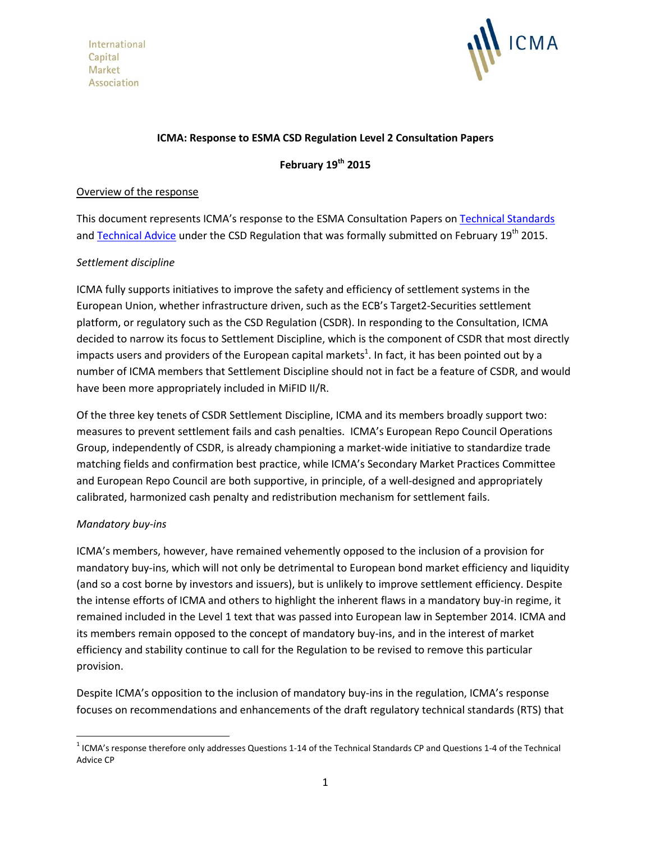International Capital Market Association



## **ICMA: Response to ESMA CSD Regulation Level 2 Consultation Papers**

**February 19th 2015**

### Overview of the response

This document represents ICMA's response to the ESMA Consultation Papers o[n Technical Standards](http://www.esma.europa.eu/system/files/2014-1563_csdr_ts.pdf) and [Technical Advice](http://www.esma.europa.eu/system/files/2014-1564_csdr_ta.pdf) under the CSD Regulation that was formally submitted on February 19<sup>th</sup> 2015.

### *Settlement discipline*

ICMA fully supports initiatives to improve the safety and efficiency of settlement systems in the European Union, whether infrastructure driven, such as the ECB's Target2-Securities settlement platform, or regulatory such as the CSD Regulation (CSDR). In responding to the Consultation, ICMA decided to narrow its focus to Settlement Discipline, which is the component of CSDR that most directly impacts users and providers of the European capital markets<sup>1</sup>. In fact, it has been pointed out by a number of ICMA members that Settlement Discipline should not in fact be a feature of CSDR, and would have been more appropriately included in MiFID II/R.

Of the three key tenets of CSDR Settlement Discipline, ICMA and its members broadly support two: measures to prevent settlement fails and cash penalties. ICMA's European Repo Council Operations Group, independently of CSDR, is already championing a market-wide initiative to standardize trade matching fields and confirmation best practice, while ICMA's Secondary Market Practices Committee and European Repo Council are both supportive, in principle, of a well-designed and appropriately calibrated, harmonized cash penalty and redistribution mechanism for settlement fails.

### *Mandatory buy-ins*

 $\overline{\phantom{a}}$ 

ICMA's members, however, have remained vehemently opposed to the inclusion of a provision for mandatory buy-ins, which will not only be detrimental to European bond market efficiency and liquidity (and so a cost borne by investors and issuers), but is unlikely to improve settlement efficiency. Despite the intense efforts of ICMA and others to highlight the inherent flaws in a mandatory buy-in regime, it remained included in the Level 1 text that was passed into European law in September 2014. ICMA and its members remain opposed to the concept of mandatory buy-ins, and in the interest of market efficiency and stability continue to call for the Regulation to be revised to remove this particular provision.

Despite ICMA's opposition to the inclusion of mandatory buy-ins in the regulation, ICMA's response focuses on recommendations and enhancements of the draft regulatory technical standards (RTS) that

 $1$  ICMA's response therefore only addresses Questions 1-14 of the Technical Standards CP and Questions 1-4 of the Technical Advice CP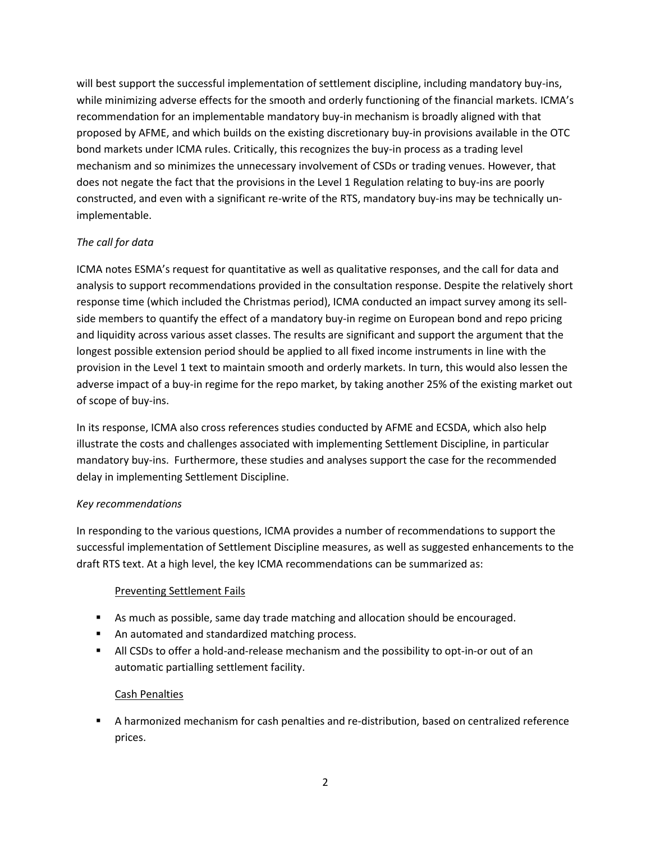will best support the successful implementation of settlement discipline, including mandatory buy-ins, while minimizing adverse effects for the smooth and orderly functioning of the financial markets. ICMA's recommendation for an implementable mandatory buy-in mechanism is broadly aligned with that proposed by AFME, and which builds on the existing discretionary buy-in provisions available in the OTC bond markets under ICMA rules. Critically, this recognizes the buy-in process as a trading level mechanism and so minimizes the unnecessary involvement of CSDs or trading venues. However, that does not negate the fact that the provisions in the Level 1 Regulation relating to buy-ins are poorly constructed, and even with a significant re-write of the RTS, mandatory buy-ins may be technically unimplementable.

## *The call for data*

ICMA notes ESMA's request for quantitative as well as qualitative responses, and the call for data and analysis to support recommendations provided in the consultation response. Despite the relatively short response time (which included the Christmas period), ICMA conducted an impact survey among its sellside members to quantify the effect of a mandatory buy-in regime on European bond and repo pricing and liquidity across various asset classes. The results are significant and support the argument that the longest possible extension period should be applied to all fixed income instruments in line with the provision in the Level 1 text to maintain smooth and orderly markets. In turn, this would also lessen the adverse impact of a buy-in regime for the repo market, by taking another 25% of the existing market out of scope of buy-ins.

In its response, ICMA also cross references studies conducted by AFME and ECSDA, which also help illustrate the costs and challenges associated with implementing Settlement Discipline, in particular mandatory buy-ins. Furthermore, these studies and analyses support the case for the recommended delay in implementing Settlement Discipline.

## *Key recommendations*

In responding to the various questions, ICMA provides a number of recommendations to support the successful implementation of Settlement Discipline measures, as well as suggested enhancements to the draft RTS text. At a high level, the key ICMA recommendations can be summarized as:

## Preventing Settlement Fails

- As much as possible, same day trade matching and allocation should be encouraged.
- An automated and standardized matching process.
- All CSDs to offer a hold-and-release mechanism and the possibility to opt-in-or out of an automatic partialling settlement facility.

## Cash Penalties

 A harmonized mechanism for cash penalties and re-distribution, based on centralized reference prices.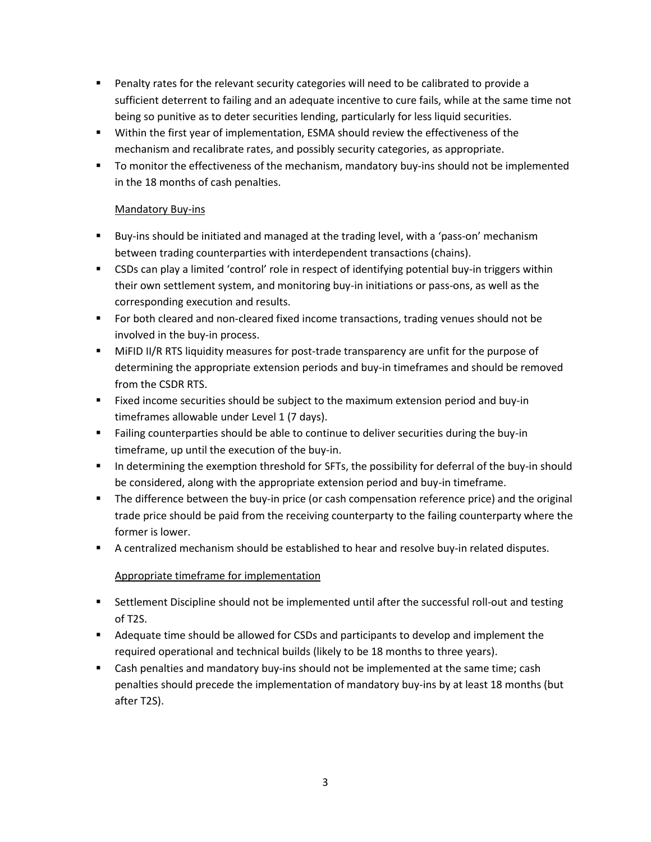- Penalty rates for the relevant security categories will need to be calibrated to provide a sufficient deterrent to failing and an adequate incentive to cure fails, while at the same time not being so punitive as to deter securities lending, particularly for less liquid securities.
- Within the first year of implementation, ESMA should review the effectiveness of the mechanism and recalibrate rates, and possibly security categories, as appropriate.
- **The Multimary Tomor Tomor is allocate the mechanism, mandatory buy-ins should not be implemented** in the 18 months of cash penalties.

## Mandatory Buy-ins

- **Buy-ins should be initiated and managed at the trading level, with a 'pass-on' mechanism** between trading counterparties with interdependent transactions (chains).
- CSDs can play a limited 'control' role in respect of identifying potential buy-in triggers within their own settlement system, and monitoring buy-in initiations or pass-ons, as well as the corresponding execution and results.
- **For both cleared and non-cleared fixed income transactions, trading venues should not be** involved in the buy-in process.
- MiFID II/R RTS liquidity measures for post-trade transparency are unfit for the purpose of determining the appropriate extension periods and buy-in timeframes and should be removed from the CSDR RTS.
- Fixed income securities should be subject to the maximum extension period and buy-in timeframes allowable under Level 1 (7 days).
- Failing counterparties should be able to continue to deliver securities during the buy-in timeframe, up until the execution of the buy-in.
- In determining the exemption threshold for SFTs, the possibility for deferral of the buy-in should be considered, along with the appropriate extension period and buy-in timeframe.
- **The difference between the buy-in price (or cash compensation reference price) and the original** trade price should be paid from the receiving counterparty to the failing counterparty where the former is lower.
- **A** centralized mechanism should be established to hear and resolve buy-in related disputes.

# Appropriate timeframe for implementation

- **Settlement Discipline should not be implemented until after the successful roll-out and testing** of T2S.
- **Adequate time should be allowed for CSDs and participants to develop and implement the** required operational and technical builds (likely to be 18 months to three years).
- **EXEC** Cash penalties and mandatory buy-ins should not be implemented at the same time; cash penalties should precede the implementation of mandatory buy-ins by at least 18 months (but after T2S).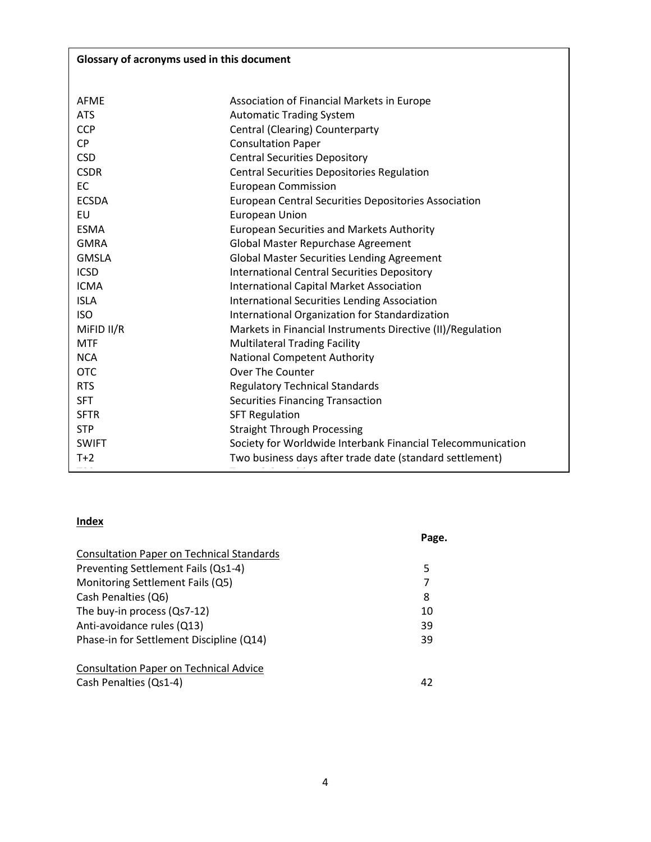| Glossary of acronyms used in this document |                                                             |  |
|--------------------------------------------|-------------------------------------------------------------|--|
|                                            |                                                             |  |
| <b>AFMF</b>                                | Association of Financial Markets in Europe                  |  |
| <b>ATS</b>                                 | <b>Automatic Trading System</b>                             |  |
| <b>CCP</b>                                 | Central (Clearing) Counterparty                             |  |
| <b>CP</b>                                  | <b>Consultation Paper</b>                                   |  |
| <b>CSD</b>                                 | <b>Central Securities Depository</b>                        |  |
| <b>CSDR</b>                                | <b>Central Securities Depositories Regulation</b>           |  |
| EC                                         | <b>European Commission</b>                                  |  |
| <b>ECSDA</b>                               | <b>European Central Securities Depositories Association</b> |  |
| EU                                         | <b>European Union</b>                                       |  |
| <b>ESMA</b>                                | <b>European Securities and Markets Authority</b>            |  |
| <b>GMRA</b>                                | Global Master Repurchase Agreement                          |  |
| <b>GMSLA</b>                               | <b>Global Master Securities Lending Agreement</b>           |  |
| <b>ICSD</b>                                | <b>International Central Securities Depository</b>          |  |
| <b>ICMA</b>                                | <b>International Capital Market Association</b>             |  |
| <b>ISLA</b>                                | <b>International Securities Lending Association</b>         |  |
| <b>ISO</b>                                 | International Organization for Standardization              |  |
| MiFID II/R                                 | Markets in Financial Instruments Directive (II)/Regulation  |  |
| <b>MTF</b>                                 | Multilateral Trading Facility                               |  |
| <b>NCA</b>                                 | <b>National Competent Authority</b>                         |  |
| <b>OTC</b>                                 | <b>Over The Counter</b>                                     |  |
| <b>RTS</b>                                 | <b>Regulatory Technical Standards</b>                       |  |
| <b>SFT</b>                                 | <b>Securities Financing Transaction</b>                     |  |
| <b>SFTR</b>                                | <b>SFT Regulation</b>                                       |  |
| <b>STP</b>                                 | <b>Straight Through Processing</b>                          |  |
| <b>SWIFT</b>                               | Society for Worldwide Interbank Financial Telecommunication |  |
| $T+2$                                      | Two business days after trade date (standard settlement)    |  |

## **Index**

|                                                  | Page. |
|--------------------------------------------------|-------|
| <b>Consultation Paper on Technical Standards</b> |       |
| Preventing Settlement Fails (Qs1-4)              | 5     |
| Monitoring Settlement Fails (Q5)                 | 7     |
| Cash Penalties (Q6)                              | 8     |
| The buy-in process (Qs7-12)                      | 10    |
| Anti-avoidance rules (Q13)                       | 39    |
| Phase-in for Settlement Discipline (Q14)         | 39    |
| <b>Consultation Paper on Technical Advice</b>    |       |
| Cash Penalties (Qs1-4)                           | 42    |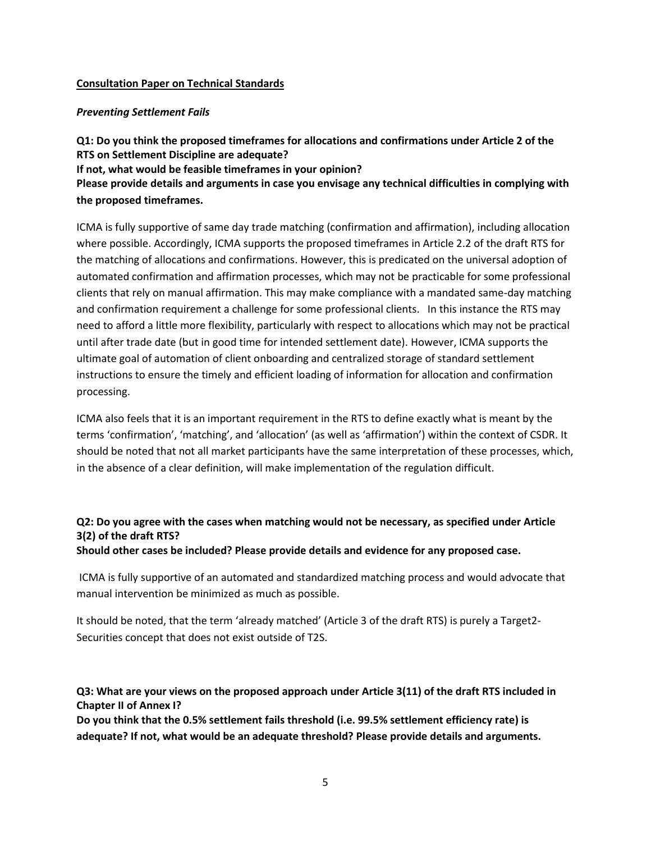### **Consultation Paper on Technical Standards**

#### *Preventing Settlement Fails*

**Q1: Do you think the proposed timeframes for allocations and confirmations under Article 2 of the RTS on Settlement Discipline are adequate? If not, what would be feasible timeframes in your opinion? Please provide details and arguments in case you envisage any technical difficulties in complying with the proposed timeframes.** 

ICMA is fully supportive of same day trade matching (confirmation and affirmation), including allocation where possible. Accordingly, ICMA supports the proposed timeframes in Article 2.2 of the draft RTS for the matching of allocations and confirmations. However, this is predicated on the universal adoption of automated confirmation and affirmation processes, which may not be practicable for some professional clients that rely on manual affirmation. This may make compliance with a mandated same-day matching and confirmation requirement a challenge for some professional clients. In this instance the RTS may need to afford a little more flexibility, particularly with respect to allocations which may not be practical until after trade date (but in good time for intended settlement date). However, ICMA supports the ultimate goal of automation of client onboarding and centralized storage of standard settlement instructions to ensure the timely and efficient loading of information for allocation and confirmation processing.

ICMA also feels that it is an important requirement in the RTS to define exactly what is meant by the terms 'confirmation', 'matching', and 'allocation' (as well as 'affirmation') within the context of CSDR. It should be noted that not all market participants have the same interpretation of these processes, which, in the absence of a clear definition, will make implementation of the regulation difficult.

# **Q2: Do you agree with the cases when matching would not be necessary, as specified under Article 3(2) of the draft RTS?**

**Should other cases be included? Please provide details and evidence for any proposed case.** 

ICMA is fully supportive of an automated and standardized matching process and would advocate that manual intervention be minimized as much as possible.

It should be noted, that the term 'already matched' (Article 3 of the draft RTS) is purely a Target2- Securities concept that does not exist outside of T2S.

**Q3: What are your views on the proposed approach under Article 3(11) of the draft RTS included in Chapter II of Annex I?** 

**Do you think that the 0.5% settlement fails threshold (i.e. 99.5% settlement efficiency rate) is adequate? If not, what would be an adequate threshold? Please provide details and arguments.**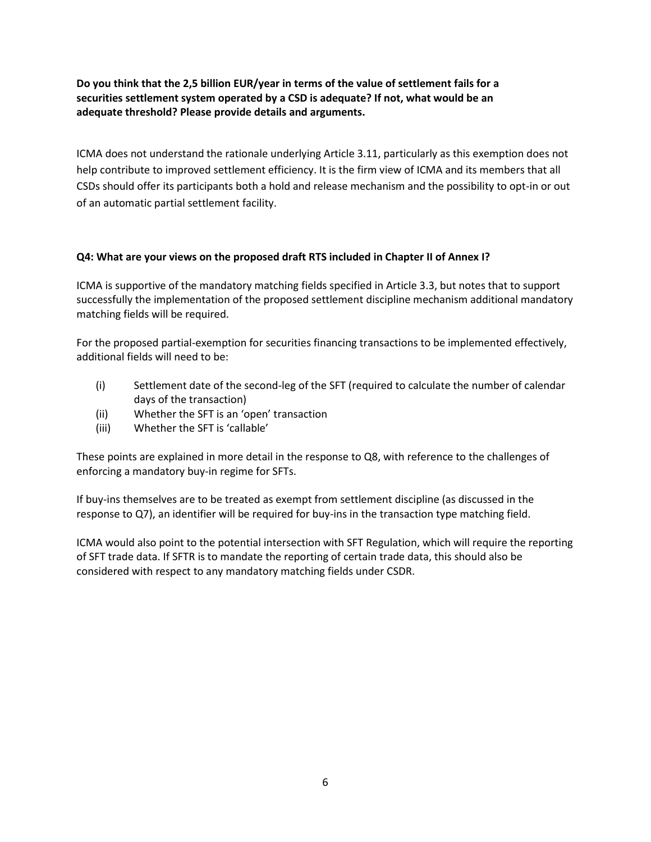**Do you think that the 2,5 billion EUR/year in terms of the value of settlement fails for a securities settlement system operated by a CSD is adequate? If not, what would be an adequate threshold? Please provide details and arguments.** 

ICMA does not understand the rationale underlying Article 3.11, particularly as this exemption does not help contribute to improved settlement efficiency. It is the firm view of ICMA and its members that all CSDs should offer its participants both a hold and release mechanism and the possibility to opt-in or out of an automatic partial settlement facility.

## **Q4: What are your views on the proposed draft RTS included in Chapter II of Annex I?**

ICMA is supportive of the mandatory matching fields specified in Article 3.3, but notes that to support successfully the implementation of the proposed settlement discipline mechanism additional mandatory matching fields will be required.

For the proposed partial-exemption for securities financing transactions to be implemented effectively, additional fields will need to be:

- (i) Settlement date of the second-leg of the SFT (required to calculate the number of calendar days of the transaction)
- (ii) Whether the SFT is an 'open' transaction
- (iii) Whether the SFT is 'callable'

These points are explained in more detail in the response to Q8, with reference to the challenges of enforcing a mandatory buy-in regime for SFTs.

If buy-ins themselves are to be treated as exempt from settlement discipline (as discussed in the response to Q7), an identifier will be required for buy-ins in the transaction type matching field.

ICMA would also point to the potential intersection with SFT Regulation, which will require the reporting of SFT trade data. If SFTR is to mandate the reporting of certain trade data, this should also be considered with respect to any mandatory matching fields under CSDR.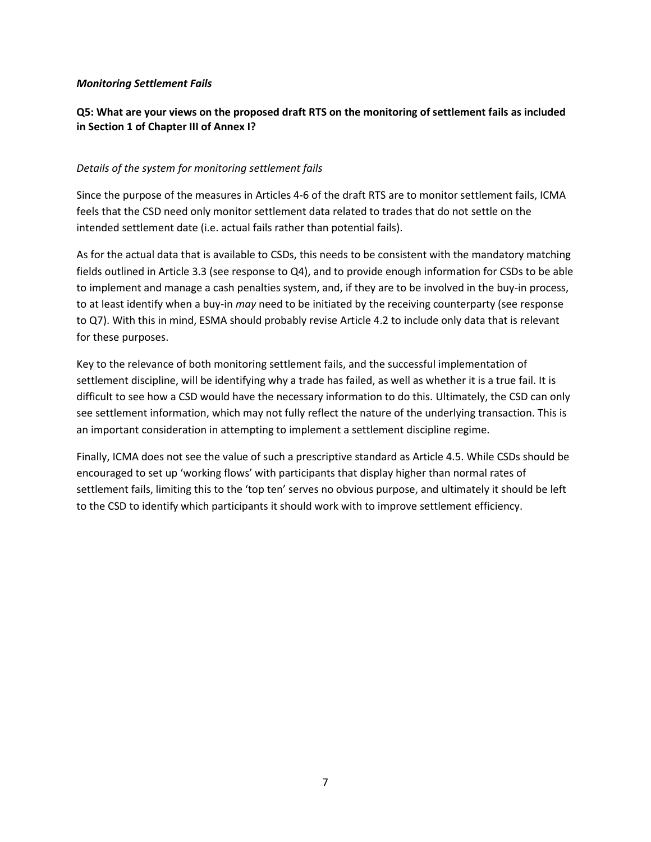#### *Monitoring Settlement Fails*

## **Q5: What are your views on the proposed draft RTS on the monitoring of settlement fails as included in Section 1 of Chapter III of Annex I?**

#### *Details of the system for monitoring settlement fails*

Since the purpose of the measures in Articles 4-6 of the draft RTS are to monitor settlement fails, ICMA feels that the CSD need only monitor settlement data related to trades that do not settle on the intended settlement date (i.e. actual fails rather than potential fails).

As for the actual data that is available to CSDs, this needs to be consistent with the mandatory matching fields outlined in Article 3.3 (see response to Q4), and to provide enough information for CSDs to be able to implement and manage a cash penalties system, and, if they are to be involved in the buy-in process, to at least identify when a buy-in *may* need to be initiated by the receiving counterparty (see response to Q7). With this in mind, ESMA should probably revise Article 4.2 to include only data that is relevant for these purposes.

Key to the relevance of both monitoring settlement fails, and the successful implementation of settlement discipline, will be identifying why a trade has failed, as well as whether it is a true fail. It is difficult to see how a CSD would have the necessary information to do this. Ultimately, the CSD can only see settlement information, which may not fully reflect the nature of the underlying transaction. This is an important consideration in attempting to implement a settlement discipline regime.

Finally, ICMA does not see the value of such a prescriptive standard as Article 4.5. While CSDs should be encouraged to set up 'working flows' with participants that display higher than normal rates of settlement fails, limiting this to the 'top ten' serves no obvious purpose, and ultimately it should be left to the CSD to identify which participants it should work with to improve settlement efficiency.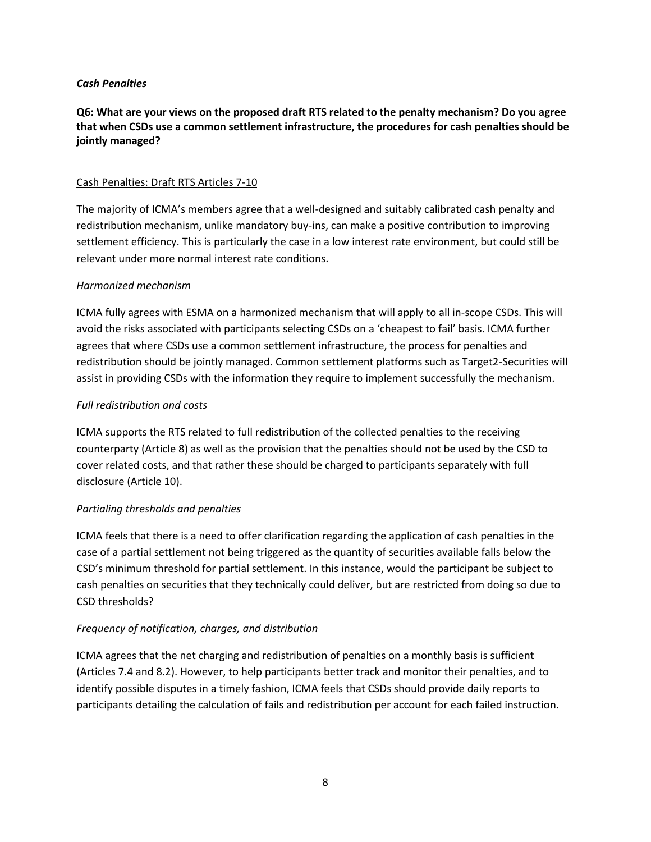#### *Cash Penalties*

**Q6: What are your views on the proposed draft RTS related to the penalty mechanism? Do you agree that when CSDs use a common settlement infrastructure, the procedures for cash penalties should be jointly managed?** 

### Cash Penalties: Draft RTS Articles 7-10

The majority of ICMA's members agree that a well-designed and suitably calibrated cash penalty and redistribution mechanism, unlike mandatory buy-ins, can make a positive contribution to improving settlement efficiency. This is particularly the case in a low interest rate environment, but could still be relevant under more normal interest rate conditions.

#### *Harmonized mechanism*

ICMA fully agrees with ESMA on a harmonized mechanism that will apply to all in-scope CSDs. This will avoid the risks associated with participants selecting CSDs on a 'cheapest to fail' basis. ICMA further agrees that where CSDs use a common settlement infrastructure, the process for penalties and redistribution should be jointly managed. Common settlement platforms such as Target2-Securities will assist in providing CSDs with the information they require to implement successfully the mechanism.

### *Full redistribution and costs*

ICMA supports the RTS related to full redistribution of the collected penalties to the receiving counterparty (Article 8) as well as the provision that the penalties should not be used by the CSD to cover related costs, and that rather these should be charged to participants separately with full disclosure (Article 10).

### *Partialing thresholds and penalties*

ICMA feels that there is a need to offer clarification regarding the application of cash penalties in the case of a partial settlement not being triggered as the quantity of securities available falls below the CSD's minimum threshold for partial settlement. In this instance, would the participant be subject to cash penalties on securities that they technically could deliver, but are restricted from doing so due to CSD thresholds?

### *Frequency of notification, charges, and distribution*

ICMA agrees that the net charging and redistribution of penalties on a monthly basis is sufficient (Articles 7.4 and 8.2). However, to help participants better track and monitor their penalties, and to identify possible disputes in a timely fashion, ICMA feels that CSDs should provide daily reports to participants detailing the calculation of fails and redistribution per account for each failed instruction.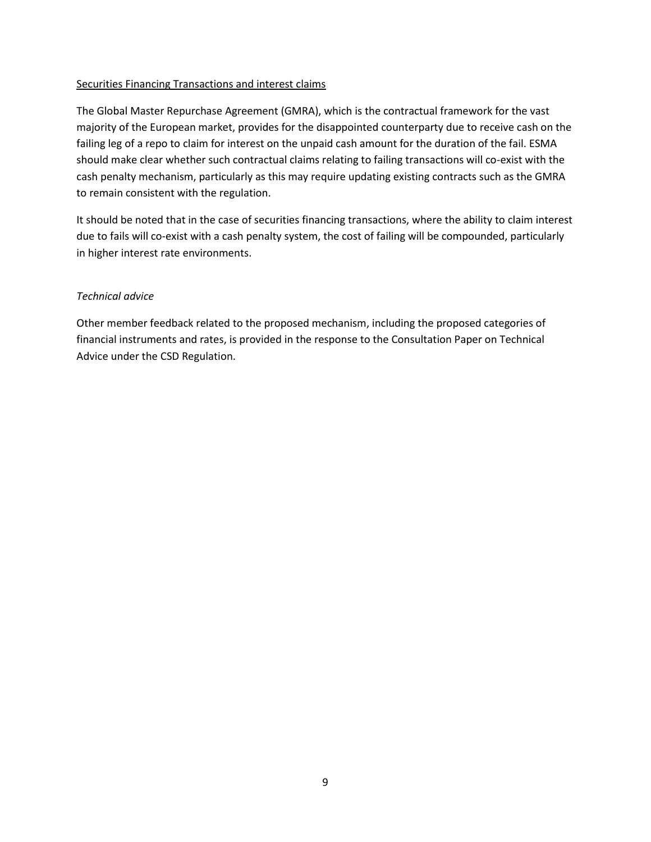### Securities Financing Transactions and interest claims

The Global Master Repurchase Agreement (GMRA), which is the contractual framework for the vast majority of the European market, provides for the disappointed counterparty due to receive cash on the failing leg of a repo to claim for interest on the unpaid cash amount for the duration of the fail. ESMA should make clear whether such contractual claims relating to failing transactions will co-exist with the cash penalty mechanism, particularly as this may require updating existing contracts such as the GMRA to remain consistent with the regulation.

It should be noted that in the case of securities financing transactions, where the ability to claim interest due to fails will co-exist with a cash penalty system, the cost of failing will be compounded, particularly in higher interest rate environments.

### *Technical advice*

Other member feedback related to the proposed mechanism, including the proposed categories of financial instruments and rates, is provided in the response to the Consultation Paper on Technical Advice under the CSD Regulation.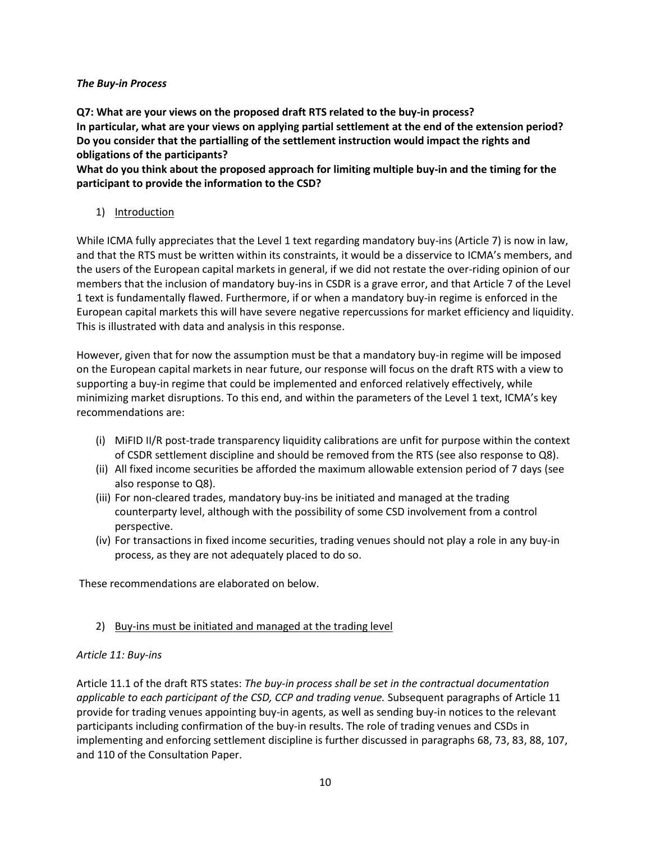### *The Buy-in Process*

**Q7: What are your views on the proposed draft RTS related to the buy-in process? In particular, what are your views on applying partial settlement at the end of the extension period? Do you consider that the partialling of the settlement instruction would impact the rights and obligations of the participants?** 

**What do you think about the proposed approach for limiting multiple buy-in and the timing for the participant to provide the information to the CSD?** 

1) Introduction

While ICMA fully appreciates that the Level 1 text regarding mandatory buy-ins (Article 7) is now in law, and that the RTS must be written within its constraints, it would be a disservice to ICMA's members, and the users of the European capital markets in general, if we did not restate the over-riding opinion of our members that the inclusion of mandatory buy-ins in CSDR is a grave error, and that Article 7 of the Level 1 text is fundamentally flawed. Furthermore, if or when a mandatory buy-in regime is enforced in the European capital markets this will have severe negative repercussions for market efficiency and liquidity. This is illustrated with data and analysis in this response.

However, given that for now the assumption must be that a mandatory buy-in regime will be imposed on the European capital markets in near future, our response will focus on the draft RTS with a view to supporting a buy-in regime that could be implemented and enforced relatively effectively, while minimizing market disruptions. To this end, and within the parameters of the Level 1 text, ICMA's key recommendations are:

- (i) MiFID II/R post-trade transparency liquidity calibrations are unfit for purpose within the context of CSDR settlement discipline and should be removed from the RTS (see also response to Q8).
- (ii) All fixed income securities be afforded the maximum allowable extension period of 7 days (see also response to Q8).
- (iii) For non-cleared trades, mandatory buy-ins be initiated and managed at the trading counterparty level, although with the possibility of some CSD involvement from a control perspective.
- (iv) For transactions in fixed income securities, trading venues should not play a role in any buy-in process, as they are not adequately placed to do so.

These recommendations are elaborated on below.

# 2) Buy-ins must be initiated and managed at the trading level

## *Article 11: Buy-ins*

Article 11.1 of the draft RTS states: *The buy-in process shall be set in the contractual documentation applicable to each participant of the CSD, CCP and trading venue.* Subsequent paragraphs of Article 11 provide for trading venues appointing buy-in agents, as well as sending buy-in notices to the relevant participants including confirmation of the buy-in results. The role of trading venues and CSDs in implementing and enforcing settlement discipline is further discussed in paragraphs 68, 73, 83, 88, 107, and 110 of the Consultation Paper.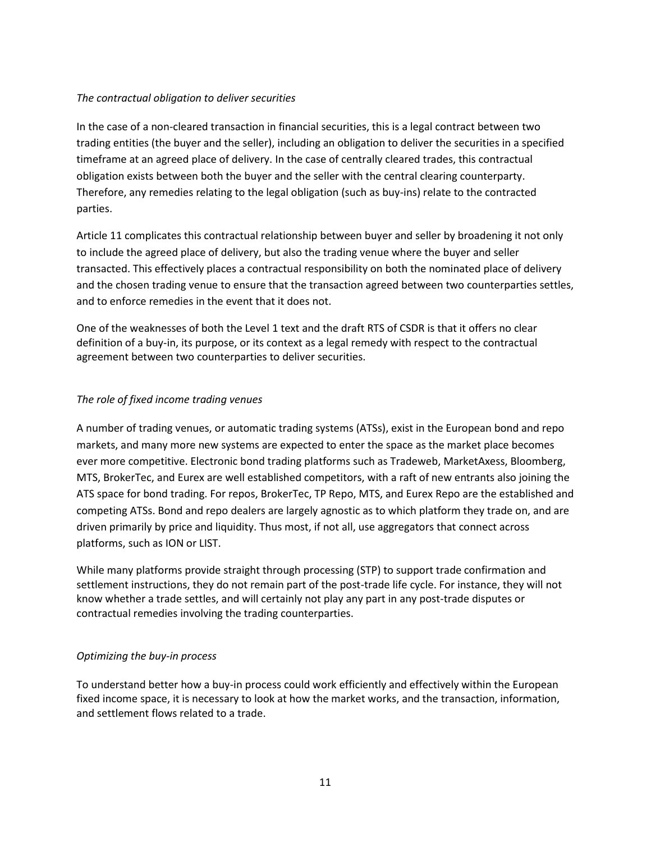### *The contractual obligation to deliver securities*

In the case of a non-cleared transaction in financial securities, this is a legal contract between two trading entities (the buyer and the seller), including an obligation to deliver the securities in a specified timeframe at an agreed place of delivery. In the case of centrally cleared trades, this contractual obligation exists between both the buyer and the seller with the central clearing counterparty. Therefore, any remedies relating to the legal obligation (such as buy-ins) relate to the contracted parties.

Article 11 complicates this contractual relationship between buyer and seller by broadening it not only to include the agreed place of delivery, but also the trading venue where the buyer and seller transacted. This effectively places a contractual responsibility on both the nominated place of delivery and the chosen trading venue to ensure that the transaction agreed between two counterparties settles, and to enforce remedies in the event that it does not.

One of the weaknesses of both the Level 1 text and the draft RTS of CSDR is that it offers no clear definition of a buy-in, its purpose, or its context as a legal remedy with respect to the contractual agreement between two counterparties to deliver securities.

### *The role of fixed income trading venues*

A number of trading venues, or automatic trading systems (ATSs), exist in the European bond and repo markets, and many more new systems are expected to enter the space as the market place becomes ever more competitive. Electronic bond trading platforms such as Tradeweb, MarketAxess, Bloomberg, MTS, BrokerTec, and Eurex are well established competitors, with a raft of new entrants also joining the ATS space for bond trading. For repos, BrokerTec, TP Repo, MTS, and Eurex Repo are the established and competing ATSs. Bond and repo dealers are largely agnostic as to which platform they trade on, and are driven primarily by price and liquidity. Thus most, if not all, use aggregators that connect across platforms, such as ION or LIST.

While many platforms provide straight through processing (STP) to support trade confirmation and settlement instructions, they do not remain part of the post-trade life cycle. For instance, they will not know whether a trade settles, and will certainly not play any part in any post-trade disputes or contractual remedies involving the trading counterparties.

## *Optimizing the buy-in process*

To understand better how a buy-in process could work efficiently and effectively within the European fixed income space, it is necessary to look at how the market works, and the transaction, information, and settlement flows related to a trade.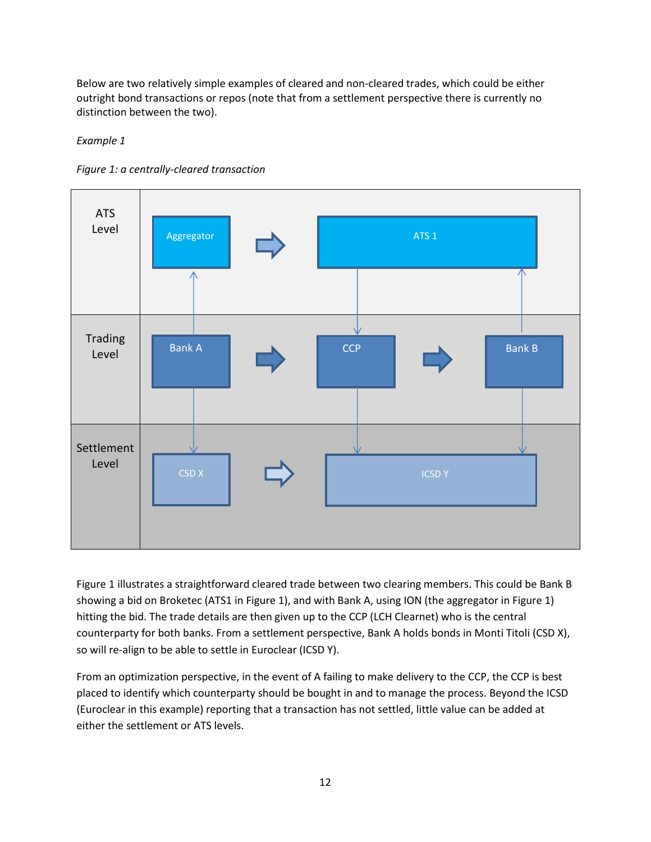Below are two relatively simple examples of cleared and non-cleared trades, which could be either outright bond transactions or repos (note that from a settlement perspective there is currently no distinction between the two).

*Example 1*



*Figure 1: a centrally-cleared transaction*

Figure 1 illustrates a straightforward cleared trade between two clearing members. This could be Bank B showing a bid on Broketec (ATS1 in Figure 1), and with Bank A, using ION (the aggregator in Figure 1) hitting the bid. The trade details are then given up to the CCP (LCH Clearnet) who is the central counterparty for both banks. From a settlement perspective, Bank A holds bonds in Monti Titoli (CSD X), so will re-align to be able to settle in Euroclear (ICSD Y).

From an optimization perspective, in the event of A failing to make delivery to the CCP, the CCP is best placed to identify which counterparty should be bought in and to manage the process. Beyond the ICSD (Euroclear in this example) reporting that a transaction has not settled, little value can be added at either the settlement or ATS levels.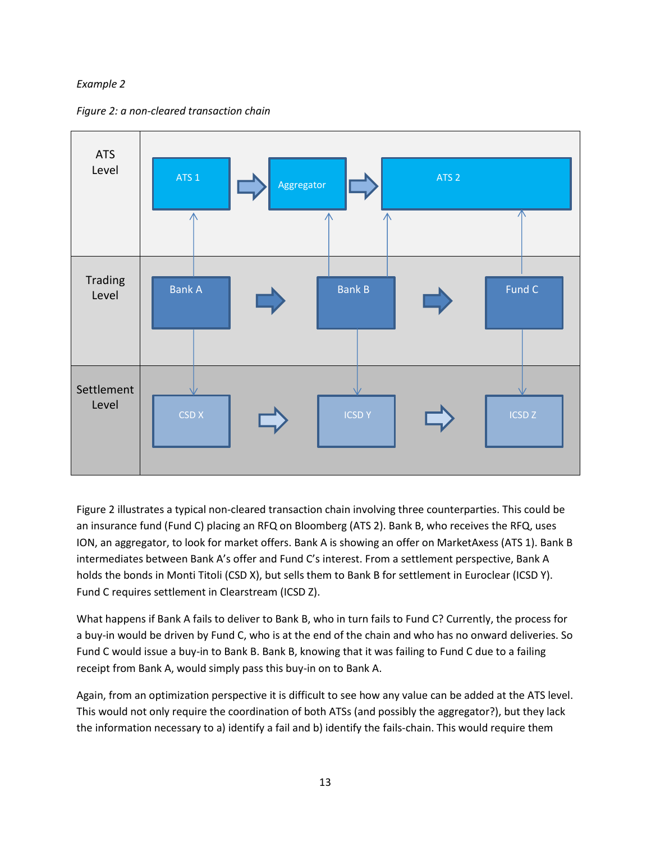## *Example 2*

*Figure 2: a non-cleared transaction chain*



Figure 2 illustrates a typical non-cleared transaction chain involving three counterparties. This could be an insurance fund (Fund C) placing an RFQ on Bloomberg (ATS 2). Bank B, who receives the RFQ, uses ION, an aggregator, to look for market offers. Bank A is showing an offer on MarketAxess (ATS 1). Bank B intermediates between Bank A's offer and Fund C's interest. From a settlement perspective, Bank A holds the bonds in Monti Titoli (CSD X), but sells them to Bank B for settlement in Euroclear (ICSD Y). Fund C requires settlement in Clearstream (ICSD Z).

What happens if Bank A fails to deliver to Bank B, who in turn fails to Fund C? Currently, the process for a buy-in would be driven by Fund C, who is at the end of the chain and who has no onward deliveries. So Fund C would issue a buy-in to Bank B. Bank B, knowing that it was failing to Fund C due to a failing receipt from Bank A, would simply pass this buy-in on to Bank A.

Again, from an optimization perspective it is difficult to see how any value can be added at the ATS level. This would not only require the coordination of both ATSs (and possibly the aggregator?), but they lack the information necessary to a) identify a fail and b) identify the fails-chain. This would require them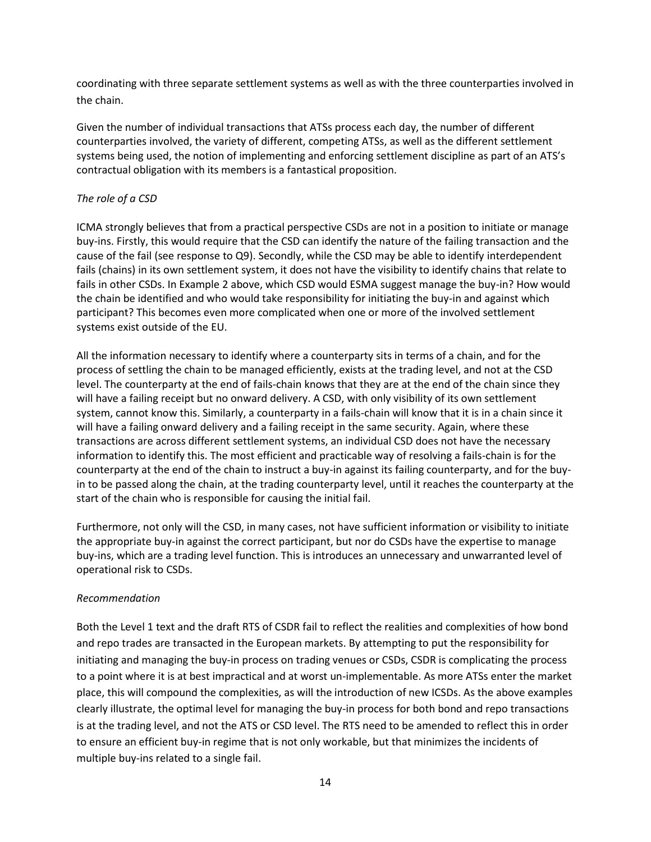coordinating with three separate settlement systems as well as with the three counterparties involved in the chain.

Given the number of individual transactions that ATSs process each day, the number of different counterparties involved, the variety of different, competing ATSs, as well as the different settlement systems being used, the notion of implementing and enforcing settlement discipline as part of an ATS's contractual obligation with its members is a fantastical proposition.

## *The role of a CSD*

ICMA strongly believes that from a practical perspective CSDs are not in a position to initiate or manage buy-ins. Firstly, this would require that the CSD can identify the nature of the failing transaction and the cause of the fail (see response to Q9). Secondly, while the CSD may be able to identify interdependent fails (chains) in its own settlement system, it does not have the visibility to identify chains that relate to fails in other CSDs. In Example 2 above, which CSD would ESMA suggest manage the buy-in? How would the chain be identified and who would take responsibility for initiating the buy-in and against which participant? This becomes even more complicated when one or more of the involved settlement systems exist outside of the EU.

All the information necessary to identify where a counterparty sits in terms of a chain, and for the process of settling the chain to be managed efficiently, exists at the trading level, and not at the CSD level. The counterparty at the end of fails-chain knows that they are at the end of the chain since they will have a failing receipt but no onward delivery. A CSD, with only visibility of its own settlement system, cannot know this. Similarly, a counterparty in a fails-chain will know that it is in a chain since it will have a failing onward delivery and a failing receipt in the same security. Again, where these transactions are across different settlement systems, an individual CSD does not have the necessary information to identify this. The most efficient and practicable way of resolving a fails-chain is for the counterparty at the end of the chain to instruct a buy-in against its failing counterparty, and for the buyin to be passed along the chain, at the trading counterparty level, until it reaches the counterparty at the start of the chain who is responsible for causing the initial fail.

Furthermore, not only will the CSD, in many cases, not have sufficient information or visibility to initiate the appropriate buy-in against the correct participant, but nor do CSDs have the expertise to manage buy-ins, which are a trading level function. This is introduces an unnecessary and unwarranted level of operational risk to CSDs.

### *Recommendation*

Both the Level 1 text and the draft RTS of CSDR fail to reflect the realities and complexities of how bond and repo trades are transacted in the European markets. By attempting to put the responsibility for initiating and managing the buy-in process on trading venues or CSDs, CSDR is complicating the process to a point where it is at best impractical and at worst un-implementable. As more ATSs enter the market place, this will compound the complexities, as will the introduction of new ICSDs. As the above examples clearly illustrate, the optimal level for managing the buy-in process for both bond and repo transactions is at the trading level, and not the ATS or CSD level. The RTS need to be amended to reflect this in order to ensure an efficient buy-in regime that is not only workable, but that minimizes the incidents of multiple buy-ins related to a single fail.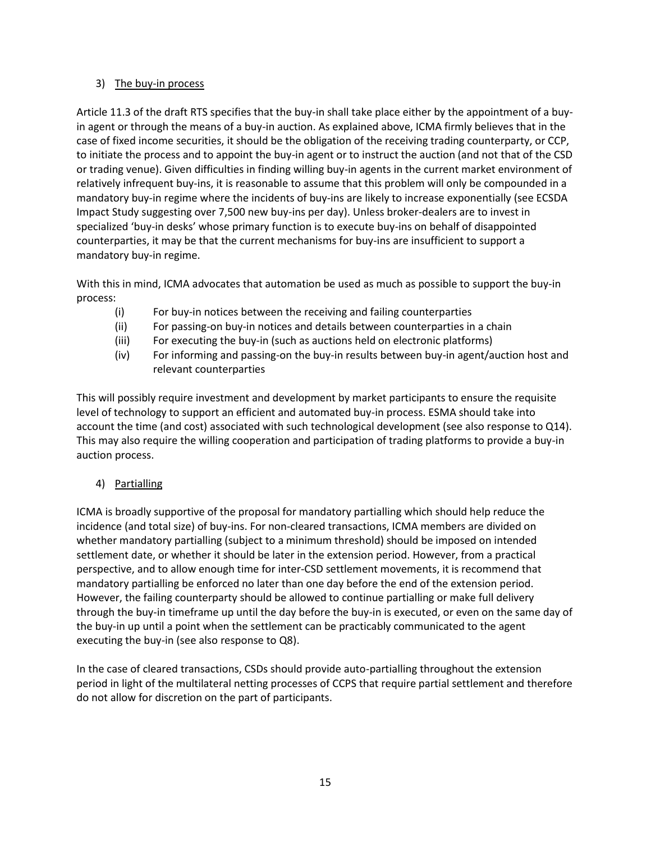## 3) The buy-in process

Article 11.3 of the draft RTS specifies that the buy-in shall take place either by the appointment of a buyin agent or through the means of a buy-in auction. As explained above, ICMA firmly believes that in the case of fixed income securities, it should be the obligation of the receiving trading counterparty, or CCP, to initiate the process and to appoint the buy-in agent or to instruct the auction (and not that of the CSD or trading venue). Given difficulties in finding willing buy-in agents in the current market environment of relatively infrequent buy-ins, it is reasonable to assume that this problem will only be compounded in a mandatory buy-in regime where the incidents of buy-ins are likely to increase exponentially (see ECSDA Impact Study suggesting over 7,500 new buy-ins per day). Unless broker-dealers are to invest in specialized 'buy-in desks' whose primary function is to execute buy-ins on behalf of disappointed counterparties, it may be that the current mechanisms for buy-ins are insufficient to support a mandatory buy-in regime.

With this in mind, ICMA advocates that automation be used as much as possible to support the buy-in process:

- (i) For buy-in notices between the receiving and failing counterparties
- (ii) For passing-on buy-in notices and details between counterparties in a chain
- (iii) For executing the buy-in (such as auctions held on electronic platforms)
- (iv) For informing and passing-on the buy-in results between buy-in agent/auction host and relevant counterparties

This will possibly require investment and development by market participants to ensure the requisite level of technology to support an efficient and automated buy-in process. ESMA should take into account the time (and cost) associated with such technological development (see also response to Q14). This may also require the willing cooperation and participation of trading platforms to provide a buy-in auction process.

# 4) Partialling

ICMA is broadly supportive of the proposal for mandatory partialling which should help reduce the incidence (and total size) of buy-ins. For non-cleared transactions, ICMA members are divided on whether mandatory partialling (subject to a minimum threshold) should be imposed on intended settlement date, or whether it should be later in the extension period. However, from a practical perspective, and to allow enough time for inter-CSD settlement movements, it is recommend that mandatory partialling be enforced no later than one day before the end of the extension period. However, the failing counterparty should be allowed to continue partialling or make full delivery through the buy-in timeframe up until the day before the buy-in is executed, or even on the same day of the buy-in up until a point when the settlement can be practicably communicated to the agent executing the buy-in (see also response to Q8).

In the case of cleared transactions, CSDs should provide auto-partialling throughout the extension period in light of the multilateral netting processes of CCPS that require partial settlement and therefore do not allow for discretion on the part of participants.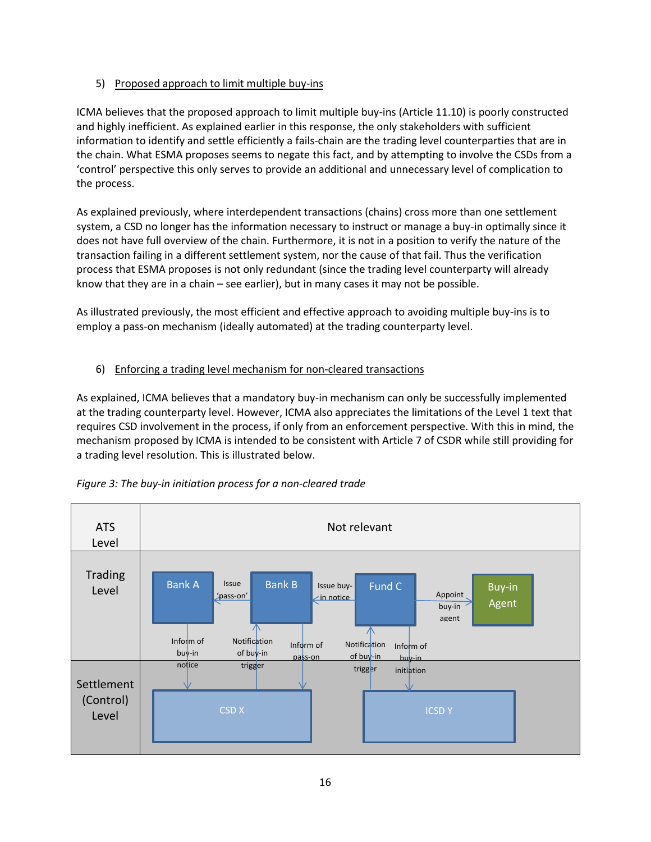## 5) Proposed approach to limit multiple buy-ins

ICMA believes that the proposed approach to limit multiple buy-ins (Article 11.10) is poorly constructed and highly inefficient. As explained earlier in this response, the only stakeholders with sufficient information to identify and settle efficiently a fails-chain are the trading level counterparties that are in the chain. What ESMA proposes seems to negate this fact, and by attempting to involve the CSDs from a 'control' perspective this only serves to provide an additional and unnecessary level of complication to the process.

As explained previously, where interdependent transactions (chains) cross more than one settlement system, a CSD no longer has the information necessary to instruct or manage a buy-in optimally since it does not have full overview of the chain. Furthermore, it is not in a position to verify the nature of the transaction failing in a different settlement system, nor the cause of that fail. Thus the verification process that ESMA proposes is not only redundant (since the trading level counterparty will already know that they are in a chain – see earlier), but in many cases it may not be possible.

As illustrated previously, the most efficient and effective approach to avoiding multiple buy-ins is to employ a pass-on mechanism (ideally automated) at the trading counterparty level.

## 6) Enforcing a trading level mechanism for non-cleared transactions

As explained, ICMA believes that a mandatory buy-in mechanism can only be successfully implemented at the trading counterparty level. However, ICMA also appreciates the limitations of the Level 1 text that requires CSD involvement in the process, if only from an enforcement perspective. With this in mind, the mechanism proposed by ICMA is intended to be consistent with Article 7 of CSDR while still providing for a trading level resolution. This is illustrated below.



## *Figure 3: The buy-in initiation process for a non-cleared trade*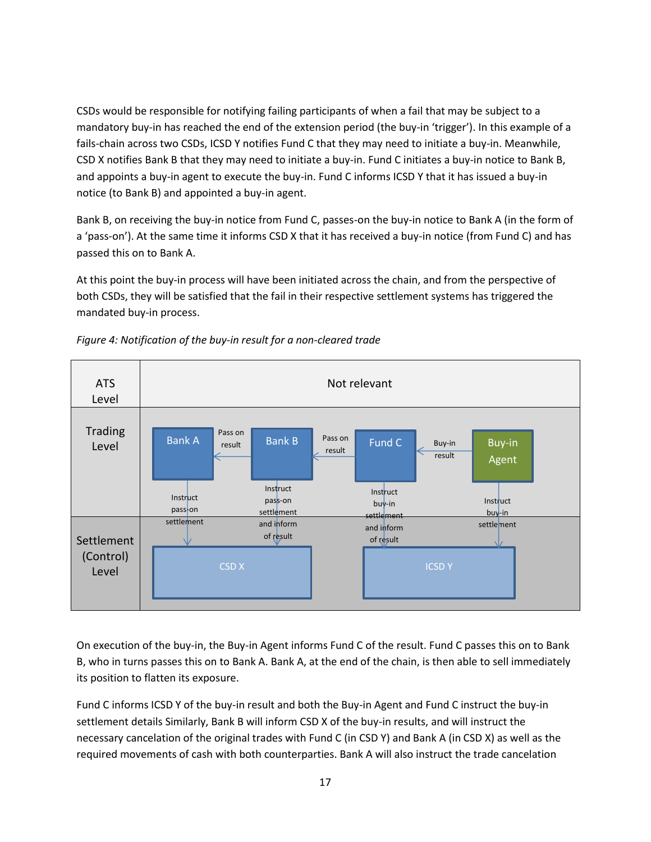CSDs would be responsible for notifying failing participants of when a fail that may be subject to a mandatory buy-in has reached the end of the extension period (the buy-in 'trigger'). In this example of a fails-chain across two CSDs, ICSD Y notifies Fund C that they may need to initiate a buy-in. Meanwhile, CSD X notifies Bank B that they may need to initiate a buy-in. Fund C initiates a buy-in notice to Bank B, and appoints a buy-in agent to execute the buy-in. Fund C informs ICSD Y that it has issued a buy-in notice (to Bank B) and appointed a buy-in agent.

Bank B, on receiving the buy-in notice from Fund C, passes-on the buy-in notice to Bank A (in the form of a 'pass-on'). At the same time it informs CSD X that it has received a buy-in notice (from Fund C) and has passed this on to Bank A.

At this point the buy-in process will have been initiated across the chain, and from the perspective of both CSDs, they will be satisfied that the fail in their respective settlement systems has triggered the mandated buy-in process.



*Figure 4: Notification of the buy-in result for a non-cleared trade*

On execution of the buy-in, the Buy-in Agent informs Fund C of the result. Fund C passes this on to Bank B, who in turns passes this on to Bank A. Bank A, at the end of the chain, is then able to sell immediately its position to flatten its exposure.

Fund C informs ICSD Y of the buy-in result and both the Buy-in Agent and Fund C instruct the buy-in settlement details Similarly, Bank B will inform CSD X of the buy-in results, and will instruct the necessary cancelation of the original trades with Fund C (in CSD Y) and Bank A (in CSD X) as well as the required movements of cash with both counterparties. Bank A will also instruct the trade cancelation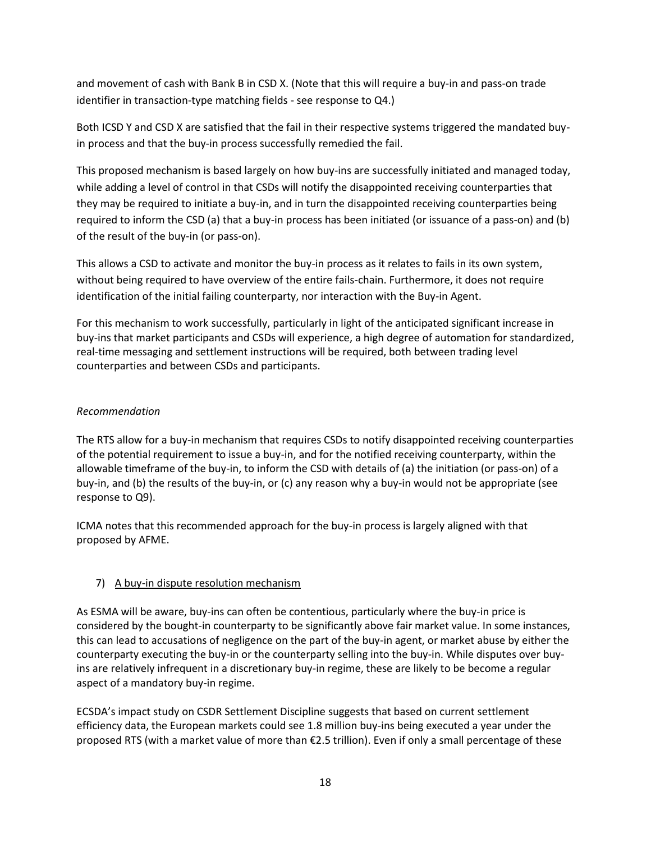and movement of cash with Bank B in CSD X. (Note that this will require a buy-in and pass-on trade identifier in transaction-type matching fields - see response to Q4.)

Both ICSD Y and CSD X are satisfied that the fail in their respective systems triggered the mandated buyin process and that the buy-in process successfully remedied the fail.

This proposed mechanism is based largely on how buy-ins are successfully initiated and managed today, while adding a level of control in that CSDs will notify the disappointed receiving counterparties that they may be required to initiate a buy-in, and in turn the disappointed receiving counterparties being required to inform the CSD (a) that a buy-in process has been initiated (or issuance of a pass-on) and (b) of the result of the buy-in (or pass-on).

This allows a CSD to activate and monitor the buy-in process as it relates to fails in its own system, without being required to have overview of the entire fails-chain. Furthermore, it does not require identification of the initial failing counterparty, nor interaction with the Buy-in Agent.

For this mechanism to work successfully, particularly in light of the anticipated significant increase in buy-ins that market participants and CSDs will experience, a high degree of automation for standardized, real-time messaging and settlement instructions will be required, both between trading level counterparties and between CSDs and participants.

## *Recommendation*

The RTS allow for a buy-in mechanism that requires CSDs to notify disappointed receiving counterparties of the potential requirement to issue a buy-in, and for the notified receiving counterparty, within the allowable timeframe of the buy-in, to inform the CSD with details of (a) the initiation (or pass-on) of a buy-in, and (b) the results of the buy-in, or (c) any reason why a buy-in would not be appropriate (see response to Q9).

ICMA notes that this recommended approach for the buy-in process is largely aligned with that proposed by AFME.

# 7) A buy-in dispute resolution mechanism

As ESMA will be aware, buy-ins can often be contentious, particularly where the buy-in price is considered by the bought-in counterparty to be significantly above fair market value. In some instances, this can lead to accusations of negligence on the part of the buy-in agent, or market abuse by either the counterparty executing the buy-in or the counterparty selling into the buy-in. While disputes over buyins are relatively infrequent in a discretionary buy-in regime, these are likely to be become a regular aspect of a mandatory buy-in regime.

ECSDA's impact study on CSDR Settlement Discipline suggests that based on current settlement efficiency data, the European markets could see 1.8 million buy-ins being executed a year under the proposed RTS (with a market value of more than €2.5 trillion). Even if only a small percentage of these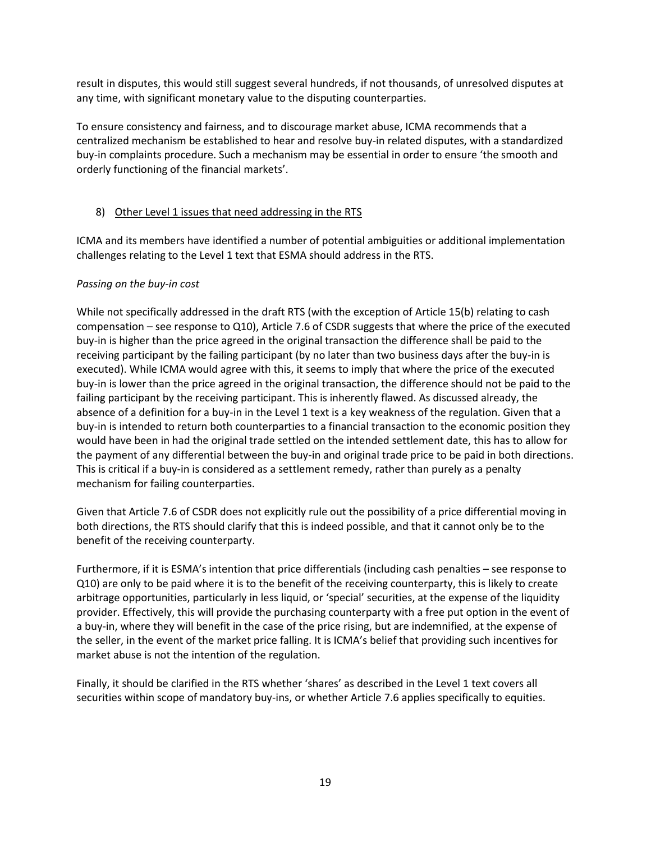result in disputes, this would still suggest several hundreds, if not thousands, of unresolved disputes at any time, with significant monetary value to the disputing counterparties.

To ensure consistency and fairness, and to discourage market abuse, ICMA recommends that a centralized mechanism be established to hear and resolve buy-in related disputes, with a standardized buy-in complaints procedure. Such a mechanism may be essential in order to ensure 'the smooth and orderly functioning of the financial markets'.

### 8) Other Level 1 issues that need addressing in the RTS

ICMA and its members have identified a number of potential ambiguities or additional implementation challenges relating to the Level 1 text that ESMA should address in the RTS.

### *Passing on the buy-in cost*

While not specifically addressed in the draft RTS (with the exception of Article 15(b) relating to cash compensation – see response to Q10), Article 7.6 of CSDR suggests that where the price of the executed buy-in is higher than the price agreed in the original transaction the difference shall be paid to the receiving participant by the failing participant (by no later than two business days after the buy-in is executed). While ICMA would agree with this, it seems to imply that where the price of the executed buy-in is lower than the price agreed in the original transaction, the difference should not be paid to the failing participant by the receiving participant. This is inherently flawed. As discussed already, the absence of a definition for a buy-in in the Level 1 text is a key weakness of the regulation. Given that a buy-in is intended to return both counterparties to a financial transaction to the economic position they would have been in had the original trade settled on the intended settlement date, this has to allow for the payment of any differential between the buy-in and original trade price to be paid in both directions. This is critical if a buy-in is considered as a settlement remedy, rather than purely as a penalty mechanism for failing counterparties.

Given that Article 7.6 of CSDR does not explicitly rule out the possibility of a price differential moving in both directions, the RTS should clarify that this is indeed possible, and that it cannot only be to the benefit of the receiving counterparty.

Furthermore, if it is ESMA's intention that price differentials (including cash penalties – see response to Q10) are only to be paid where it is to the benefit of the receiving counterparty, this is likely to create arbitrage opportunities, particularly in less liquid, or 'special' securities, at the expense of the liquidity provider. Effectively, this will provide the purchasing counterparty with a free put option in the event of a buy-in, where they will benefit in the case of the price rising, but are indemnified, at the expense of the seller, in the event of the market price falling. It is ICMA's belief that providing such incentives for market abuse is not the intention of the regulation.

Finally, it should be clarified in the RTS whether 'shares' as described in the Level 1 text covers all securities within scope of mandatory buy-ins, or whether Article 7.6 applies specifically to equities.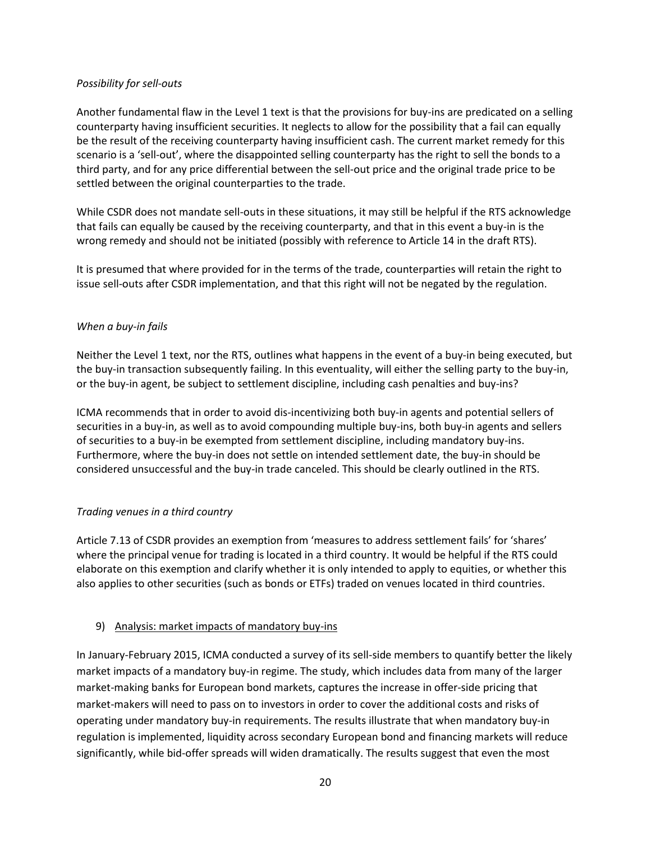### *Possibility for sell-outs*

Another fundamental flaw in the Level 1 text is that the provisions for buy-ins are predicated on a selling counterparty having insufficient securities. It neglects to allow for the possibility that a fail can equally be the result of the receiving counterparty having insufficient cash. The current market remedy for this scenario is a 'sell-out', where the disappointed selling counterparty has the right to sell the bonds to a third party, and for any price differential between the sell-out price and the original trade price to be settled between the original counterparties to the trade.

While CSDR does not mandate sell-outs in these situations, it may still be helpful if the RTS acknowledge that fails can equally be caused by the receiving counterparty, and that in this event a buy-in is the wrong remedy and should not be initiated (possibly with reference to Article 14 in the draft RTS).

It is presumed that where provided for in the terms of the trade, counterparties will retain the right to issue sell-outs after CSDR implementation, and that this right will not be negated by the regulation.

### *When a buy-in fails*

Neither the Level 1 text, nor the RTS, outlines what happens in the event of a buy-in being executed, but the buy-in transaction subsequently failing. In this eventuality, will either the selling party to the buy-in, or the buy-in agent, be subject to settlement discipline, including cash penalties and buy-ins?

ICMA recommends that in order to avoid dis-incentivizing both buy-in agents and potential sellers of securities in a buy-in, as well as to avoid compounding multiple buy-ins, both buy-in agents and sellers of securities to a buy-in be exempted from settlement discipline, including mandatory buy-ins. Furthermore, where the buy-in does not settle on intended settlement date, the buy-in should be considered unsuccessful and the buy-in trade canceled. This should be clearly outlined in the RTS.

## *Trading venues in a third country*

Article 7.13 of CSDR provides an exemption from 'measures to address settlement fails' for 'shares' where the principal venue for trading is located in a third country. It would be helpful if the RTS could elaborate on this exemption and clarify whether it is only intended to apply to equities, or whether this also applies to other securities (such as bonds or ETFs) traded on venues located in third countries.

## 9) Analysis: market impacts of mandatory buy-ins

In January-February 2015, ICMA conducted a survey of its sell-side members to quantify better the likely market impacts of a mandatory buy-in regime. The study, which includes data from many of the larger market-making banks for European bond markets, captures the increase in offer-side pricing that market-makers will need to pass on to investors in order to cover the additional costs and risks of operating under mandatory buy-in requirements. The results illustrate that when mandatory buy-in regulation is implemented, liquidity across secondary European bond and financing markets will reduce significantly, while bid-offer spreads will widen dramatically. The results suggest that even the most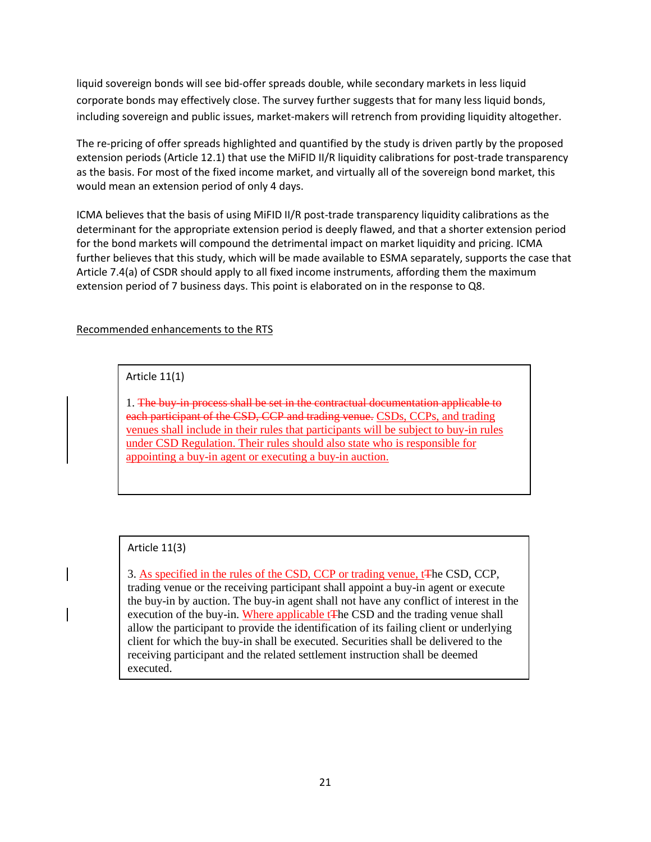liquid sovereign bonds will see bid-offer spreads double, while secondary markets in less liquid corporate bonds may effectively close. The survey further suggests that for many less liquid bonds, including sovereign and public issues, market-makers will retrench from providing liquidity altogether.

The re-pricing of offer spreads highlighted and quantified by the study is driven partly by the proposed extension periods (Article 12.1) that use the MiFID II/R liquidity calibrations for post-trade transparency as the basis. For most of the fixed income market, and virtually all of the sovereign bond market, this would mean an extension period of only 4 days.

ICMA believes that the basis of using MiFID II/R post-trade transparency liquidity calibrations as the determinant for the appropriate extension period is deeply flawed, and that a shorter extension period for the bond markets will compound the detrimental impact on market liquidity and pricing. ICMA further believes that this study, which will be made available to ESMA separately, supports the case that Article 7.4(a) of CSDR should apply to all fixed income instruments, affording them the maximum extension period of 7 business days. This point is elaborated on in the response to Q8.

### Recommended enhancements to the RTS

Article 11(1)

1. The buy-in process shall be set in the contractual documentation applicable to each participant of the CSD, CCP and trading venue. CSDs, CCPs, and trading venues shall include in their rules that participants will be subject to buy-in rules under CSD Regulation. Their rules should also state who is responsible for appointing a buy-in agent or executing a buy-in auction.

## Article 11(3)

3. As specified in the rules of the CSD, CCP or trading venue, tThe CSD, CCP, trading venue or the receiving participant shall appoint a buy-in agent or execute the buy-in by auction. The buy-in agent shall not have any conflict of interest in the execution of the buy-in. Where applicable t<sub>The CSD</sub> and the trading venue shall allow the participant to provide the identification of its failing client or underlying client for which the buy-in shall be executed. Securities shall be delivered to the receiving participant and the related settlement instruction shall be deemed executed.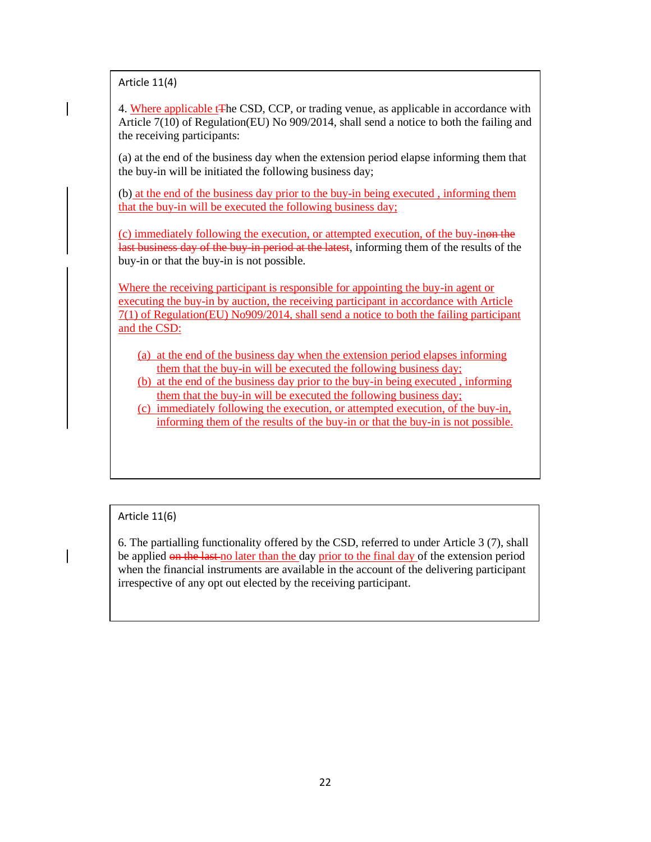Article 11(4)

4. Where applicable tThe CSD, CCP, or trading venue, as applicable in accordance with Article 7(10) of Regulation(EU) No 909/2014, shall send a notice to both the failing and the receiving participants:

(a) at the end of the business day when the extension period elapse informing them that the buy-in will be initiated the following business day;

(b) at the end of the business day prior to the buy-in being executed , informing them that the buy-in will be executed the following business day;

(c) immediately following the execution, or attempted execution, of the buy-inon the last business day of the buy-in-period at the latest, informing them of the results of the buy-in or that the buy-in is not possible.

Where the receiving participant is responsible for appointing the buy-in agent or executing the buy-in by auction, the receiving participant in accordance with Article 7(1) of Regulation(EU) No909/2014, shall send a notice to both the failing participant and the CSD:

- (a) at the end of the business day when the extension period elapses informing them that the buy-in will be executed the following business day;
- (b) at the end of the business day prior to the buy-in being executed , informing them that the buy-in will be executed the following business day;
- (c) immediately following the execution, or attempted execution, of the buy-in, informing them of the results of the buy-in or that the buy-in is not possible.

Article 11(6)

6. The partialling functionality offered by the CSD, referred to under Article 3 (7), shall be applied on the last no later than the day prior to the final day of the extension period when the financial instruments are available in the account of the delivering participant irrespective of any opt out elected by the receiving participant.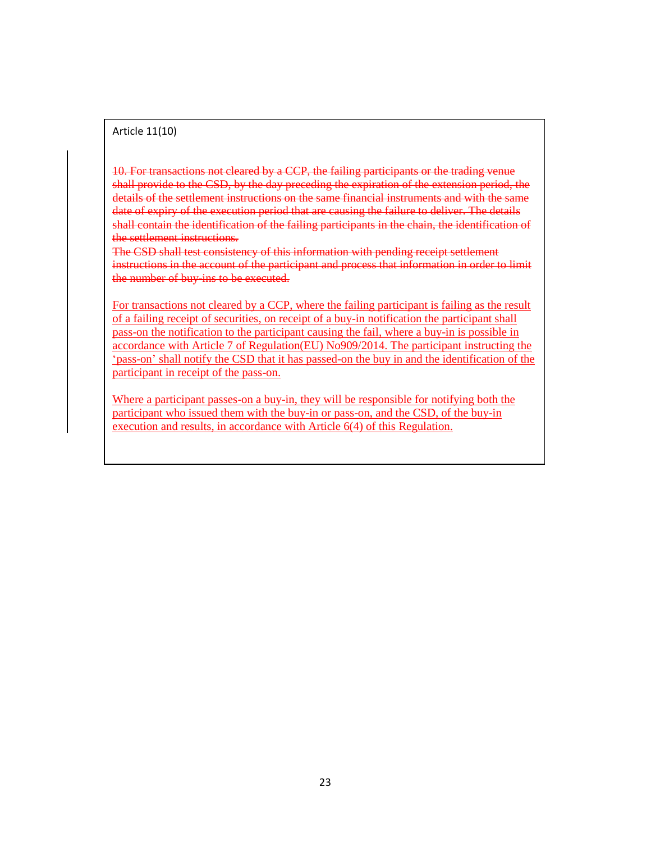#### Article 11(10)

10. For transactions not cleared by a CCP, the failing participants or the trading venue shall provide to the CSD, by the day preceding the expiration of the extension period, the details of the settlement instructions on the same financial instruments and with the same date of expiry of the execution period that are causing the failure to deliver. The details shall contain the identification of the failing participants in the chain, the identification of the settlement instructions.

The CSD shall test consistency of this information with pending receipt settlement instructions in the account of the participant and process that information in order to limit the number of buy-ins to be executed.

For transactions not cleared by a CCP, where the failing participant is failing as the result of a failing receipt of securities, on receipt of a buy-in notification the participant shall pass-on the notification to the participant causing the fail, where a buy-in is possible in accordance with Article 7 of Regulation(EU) No909/2014. The participant instructing the 'pass-on' shall notify the CSD that it has passed-on the buy in and the identification of the participant in receipt of the pass-on.

Where a participant passes-on a buy-in, they will be responsible for notifying both the participant who issued them with the buy-in or pass-on, and the CSD, of the buy-in execution and results, in accordance with Article 6(4) of this Regulation.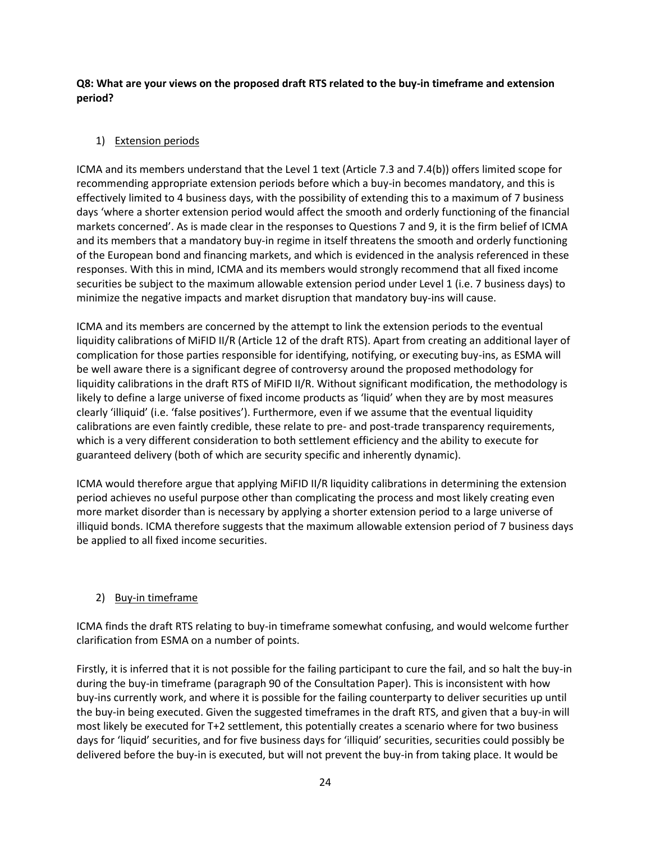**Q8: What are your views on the proposed draft RTS related to the buy-in timeframe and extension period?**

## 1) Extension periods

ICMA and its members understand that the Level 1 text (Article 7.3 and 7.4(b)) offers limited scope for recommending appropriate extension periods before which a buy-in becomes mandatory, and this is effectively limited to 4 business days, with the possibility of extending this to a maximum of 7 business days 'where a shorter extension period would affect the smooth and orderly functioning of the financial markets concerned'. As is made clear in the responses to Questions 7 and 9, it is the firm belief of ICMA and its members that a mandatory buy-in regime in itself threatens the smooth and orderly functioning of the European bond and financing markets, and which is evidenced in the analysis referenced in these responses. With this in mind, ICMA and its members would strongly recommend that all fixed income securities be subject to the maximum allowable extension period under Level 1 (i.e. 7 business days) to minimize the negative impacts and market disruption that mandatory buy-ins will cause.

ICMA and its members are concerned by the attempt to link the extension periods to the eventual liquidity calibrations of MiFID II/R (Article 12 of the draft RTS). Apart from creating an additional layer of complication for those parties responsible for identifying, notifying, or executing buy-ins, as ESMA will be well aware there is a significant degree of controversy around the proposed methodology for liquidity calibrations in the draft RTS of MiFID II/R. Without significant modification, the methodology is likely to define a large universe of fixed income products as 'liquid' when they are by most measures clearly 'illiquid' (i.e. 'false positives'). Furthermore, even if we assume that the eventual liquidity calibrations are even faintly credible, these relate to pre- and post-trade transparency requirements, which is a very different consideration to both settlement efficiency and the ability to execute for guaranteed delivery (both of which are security specific and inherently dynamic).

ICMA would therefore argue that applying MiFID II/R liquidity calibrations in determining the extension period achieves no useful purpose other than complicating the process and most likely creating even more market disorder than is necessary by applying a shorter extension period to a large universe of illiquid bonds. ICMA therefore suggests that the maximum allowable extension period of 7 business days be applied to all fixed income securities.

## 2) Buy-in timeframe

ICMA finds the draft RTS relating to buy-in timeframe somewhat confusing, and would welcome further clarification from ESMA on a number of points.

Firstly, it is inferred that it is not possible for the failing participant to cure the fail, and so halt the buy-in during the buy-in timeframe (paragraph 90 of the Consultation Paper). This is inconsistent with how buy-ins currently work, and where it is possible for the failing counterparty to deliver securities up until the buy-in being executed. Given the suggested timeframes in the draft RTS, and given that a buy-in will most likely be executed for T+2 settlement, this potentially creates a scenario where for two business days for 'liquid' securities, and for five business days for 'illiquid' securities, securities could possibly be delivered before the buy-in is executed, but will not prevent the buy-in from taking place. It would be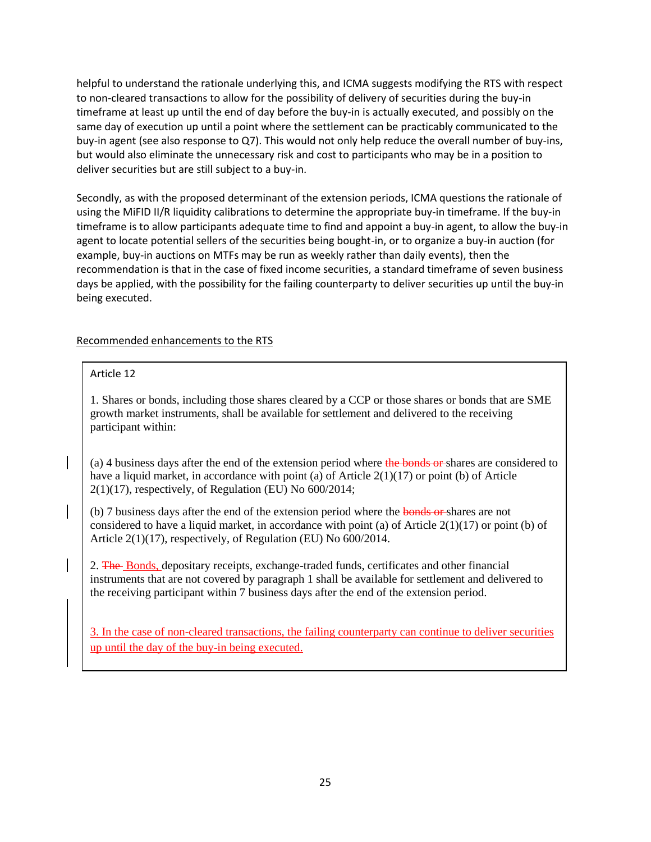helpful to understand the rationale underlying this, and ICMA suggests modifying the RTS with respect to non-cleared transactions to allow for the possibility of delivery of securities during the buy-in timeframe at least up until the end of day before the buy-in is actually executed, and possibly on the same day of execution up until a point where the settlement can be practicably communicated to the buy-in agent (see also response to Q7). This would not only help reduce the overall number of buy-ins, but would also eliminate the unnecessary risk and cost to participants who may be in a position to deliver securities but are still subject to a buy-in.

Secondly, as with the proposed determinant of the extension periods, ICMA questions the rationale of using the MiFID II/R liquidity calibrations to determine the appropriate buy-in timeframe. If the buy-in timeframe is to allow participants adequate time to find and appoint a buy-in agent, to allow the buy-in agent to locate potential sellers of the securities being bought-in, or to organize a buy-in auction (for example, buy-in auctions on MTFs may be run as weekly rather than daily events), then the recommendation is that in the case of fixed income securities, a standard timeframe of seven business days be applied, with the possibility for the failing counterparty to deliver securities up until the buy-in being executed.

### Recommended enhancements to the RTS

### Article 12

1. Shares or bonds, including those shares cleared by a CCP or those shares or bonds that are SME growth market instruments, shall be available for settlement and delivered to the receiving participant within:

(a) 4 business days after the end of the extension period where the bonds or shares are considered to have a liquid market, in accordance with point (a) of Article  $2(1)(17)$  or point (b) of Article  $2(1)(17)$ , respectively, of Regulation (EU) No 600/2014;

(b) 7 business days after the end of the extension period where the bonds or shares are not considered to have a liquid market, in accordance with point (a) of Article  $2(1)(17)$  or point (b) of Article 2(1)(17), respectively, of Regulation (EU) No 600/2014.

2. The Bonds, depositary receipts, exchange-traded funds, certificates and other financial instruments that are not covered by paragraph 1 shall be available for settlement and delivered to the receiving participant within 7 business days after the end of the extension period.

3. In the case of non-cleared transactions, the failing counterparty can continue to deliver securities up until the day of the buy-in being executed.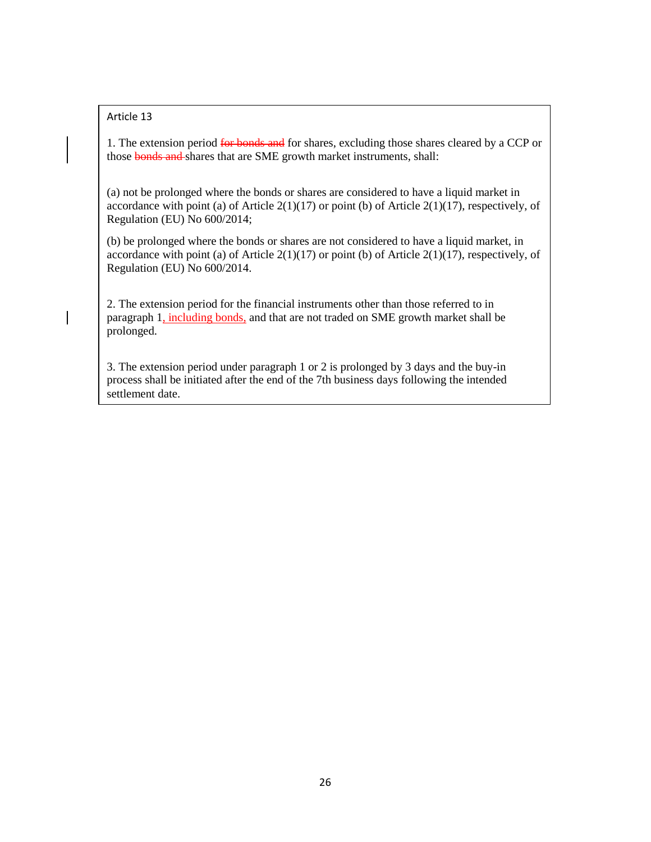### Article 13

1. The extension period for bonds and for shares, excluding those shares cleared by a CCP or those bonds and shares that are SME growth market instruments, shall:

(a) not be prolonged where the bonds or shares are considered to have a liquid market in accordance with point (a) of Article  $2(1)(17)$  or point (b) of Article  $2(1)(17)$ , respectively, of Regulation (EU) No 600/2014;

(b) be prolonged where the bonds or shares are not considered to have a liquid market, in accordance with point (a) of Article  $2(1)(17)$  or point (b) of Article  $2(1)(17)$ , respectively, of Regulation (EU) No 600/2014.

2. The extension period for the financial instruments other than those referred to in paragraph 1, including bonds, and that are not traded on SME growth market shall be prolonged.

3. The extension period under paragraph 1 or 2 is prolonged by 3 days and the buy-in process shall be initiated after the end of the 7th business days following the intended settlement date.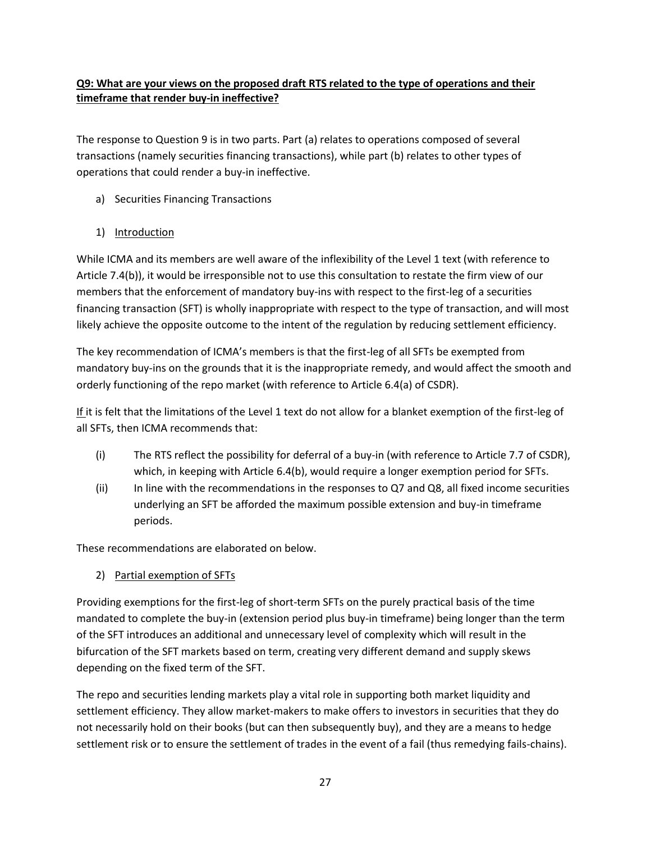## **Q9: What are your views on the proposed draft RTS related to the type of operations and their timeframe that render buy-in ineffective?**

The response to Question 9 is in two parts. Part (a) relates to operations composed of several transactions (namely securities financing transactions), while part (b) relates to other types of operations that could render a buy-in ineffective.

a) Securities Financing Transactions

## 1) Introduction

While ICMA and its members are well aware of the inflexibility of the Level 1 text (with reference to Article 7.4(b)), it would be irresponsible not to use this consultation to restate the firm view of our members that the enforcement of mandatory buy-ins with respect to the first-leg of a securities financing transaction (SFT) is wholly inappropriate with respect to the type of transaction, and will most likely achieve the opposite outcome to the intent of the regulation by reducing settlement efficiency.

The key recommendation of ICMA's members is that the first-leg of all SFTs be exempted from mandatory buy-ins on the grounds that it is the inappropriate remedy, and would affect the smooth and orderly functioning of the repo market (with reference to Article 6.4(a) of CSDR).

If it is felt that the limitations of the Level 1 text do not allow for a blanket exemption of the first-leg of all SFTs, then ICMA recommends that:

- (i) The RTS reflect the possibility for deferral of a buy-in (with reference to Article 7.7 of CSDR), which, in keeping with Article 6.4(b), would require a longer exemption period for SFTs.
- $(i)$  In line with the recommendations in the responses to Q7 and Q8, all fixed income securities underlying an SFT be afforded the maximum possible extension and buy-in timeframe periods.

These recommendations are elaborated on below.

2) Partial exemption of SFTs

Providing exemptions for the first-leg of short-term SFTs on the purely practical basis of the time mandated to complete the buy-in (extension period plus buy-in timeframe) being longer than the term of the SFT introduces an additional and unnecessary level of complexity which will result in the bifurcation of the SFT markets based on term, creating very different demand and supply skews depending on the fixed term of the SFT.

The repo and securities lending markets play a vital role in supporting both market liquidity and settlement efficiency. They allow market-makers to make offers to investors in securities that they do not necessarily hold on their books (but can then subsequently buy), and they are a means to hedge settlement risk or to ensure the settlement of trades in the event of a fail (thus remedying fails-chains).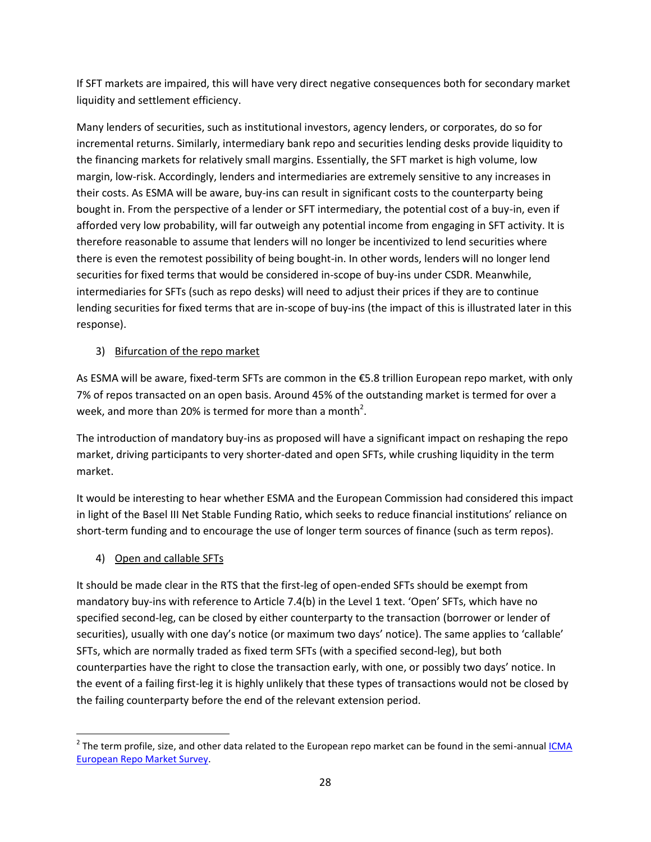If SFT markets are impaired, this will have very direct negative consequences both for secondary market liquidity and settlement efficiency.

Many lenders of securities, such as institutional investors, agency lenders, or corporates, do so for incremental returns. Similarly, intermediary bank repo and securities lending desks provide liquidity to the financing markets for relatively small margins. Essentially, the SFT market is high volume, low margin, low-risk. Accordingly, lenders and intermediaries are extremely sensitive to any increases in their costs. As ESMA will be aware, buy-ins can result in significant costs to the counterparty being bought in. From the perspective of a lender or SFT intermediary, the potential cost of a buy-in, even if afforded very low probability, will far outweigh any potential income from engaging in SFT activity. It is therefore reasonable to assume that lenders will no longer be incentivized to lend securities where there is even the remotest possibility of being bought-in. In other words, lenders will no longer lend securities for fixed terms that would be considered in-scope of buy-ins under CSDR. Meanwhile, intermediaries for SFTs (such as repo desks) will need to adjust their prices if they are to continue lending securities for fixed terms that are in-scope of buy-ins (the impact of this is illustrated later in this response).

## 3) Bifurcation of the repo market

As ESMA will be aware, fixed-term SFTs are common in the €5.8 trillion European repo market, with only 7% of repos transacted on an open basis. Around 45% of the outstanding market is termed for over a week, and more than 20% is termed for more than a month<sup>2</sup>.

The introduction of mandatory buy-ins as proposed will have a significant impact on reshaping the repo market, driving participants to very shorter-dated and open SFTs, while crushing liquidity in the term market.

It would be interesting to hear whether ESMA and the European Commission had considered this impact in light of the Basel III Net Stable Funding Ratio, which seeks to reduce financial institutions' reliance on short-term funding and to encourage the use of longer term sources of finance (such as term repos).

4) Open and callable SFTs

It should be made clear in the RTS that the first-leg of open-ended SFTs should be exempt from mandatory buy-ins with reference to Article 7.4(b) in the Level 1 text. 'Open' SFTs, which have no specified second-leg, can be closed by either counterparty to the transaction (borrower or lender of securities), usually with one day's notice (or maximum two days' notice). The same applies to 'callable' SFTs, which are normally traded as fixed term SFTs (with a specified second-leg), but both counterparties have the right to close the transaction early, with one, or possibly two days' notice. In the event of a failing first-leg it is highly unlikely that these types of transactions would not be closed by the failing counterparty before the end of the relevant extension period.

l  $^2$  The term profile, size, and other data related to the European repo market can be found in the semi-annual <u>ICMA</u> [European Repo Market Survey.](http://www.icmagroup.org/assets/documents/Market-Info/Repo-Market-Surveys/No-27-June-2014/ICMA-ERC-European-Repo-Survey-June-2014.pdf)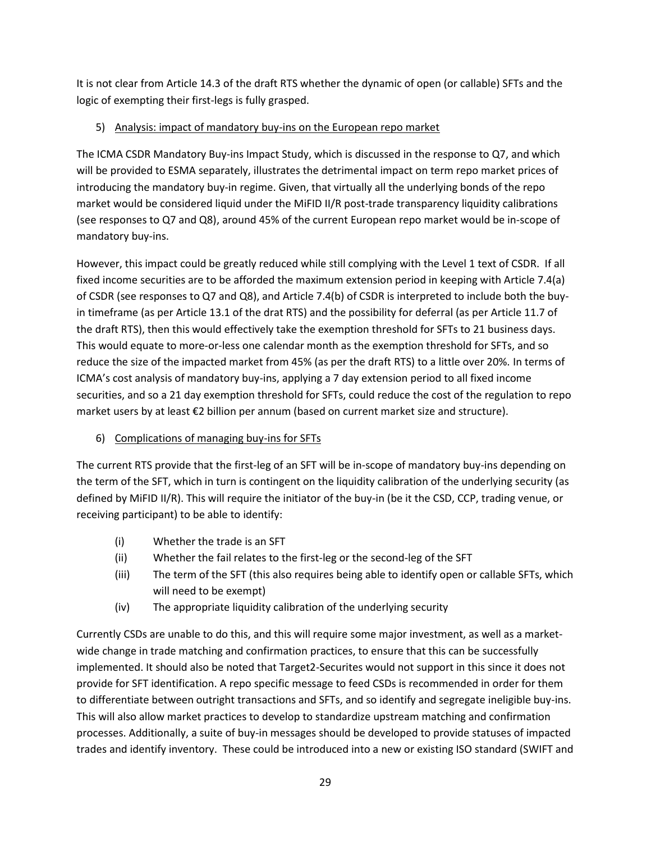It is not clear from Article 14.3 of the draft RTS whether the dynamic of open (or callable) SFTs and the logic of exempting their first-legs is fully grasped.

# 5) Analysis: impact of mandatory buy-ins on the European repo market

The ICMA CSDR Mandatory Buy-ins Impact Study, which is discussed in the response to Q7, and which will be provided to ESMA separately, illustrates the detrimental impact on term repo market prices of introducing the mandatory buy-in regime. Given, that virtually all the underlying bonds of the repo market would be considered liquid under the MiFID II/R post-trade transparency liquidity calibrations (see responses to Q7 and Q8), around 45% of the current European repo market would be in-scope of mandatory buy-ins.

However, this impact could be greatly reduced while still complying with the Level 1 text of CSDR. If all fixed income securities are to be afforded the maximum extension period in keeping with Article 7.4(a) of CSDR (see responses to Q7 and Q8), and Article 7.4(b) of CSDR is interpreted to include both the buyin timeframe (as per Article 13.1 of the drat RTS) and the possibility for deferral (as per Article 11.7 of the draft RTS), then this would effectively take the exemption threshold for SFTs to 21 business days. This would equate to more-or-less one calendar month as the exemption threshold for SFTs, and so reduce the size of the impacted market from 45% (as per the draft RTS) to a little over 20%. In terms of ICMA's cost analysis of mandatory buy-ins, applying a 7 day extension period to all fixed income securities, and so a 21 day exemption threshold for SFTs, could reduce the cost of the regulation to repo market users by at least €2 billion per annum (based on current market size and structure).

6) Complications of managing buy-ins for SFTs

The current RTS provide that the first-leg of an SFT will be in-scope of mandatory buy-ins depending on the term of the SFT, which in turn is contingent on the liquidity calibration of the underlying security (as defined by MiFID II/R). This will require the initiator of the buy-in (be it the CSD, CCP, trading venue, or receiving participant) to be able to identify:

- (i) Whether the trade is an SFT
- (ii) Whether the fail relates to the first-leg or the second-leg of the SFT
- (iii) The term of the SFT (this also requires being able to identify open or callable SFTs, which will need to be exempt)
- (iv) The appropriate liquidity calibration of the underlying security

Currently CSDs are unable to do this, and this will require some major investment, as well as a marketwide change in trade matching and confirmation practices, to ensure that this can be successfully implemented. It should also be noted that Target2-Securites would not support in this since it does not provide for SFT identification. A repo specific message to feed CSDs is recommended in order for them to differentiate between outright transactions and SFTs, and so identify and segregate ineligible buy-ins. This will also allow market practices to develop to standardize upstream matching and confirmation processes. Additionally, a suite of buy-in messages should be developed to provide statuses of impacted trades and identify inventory. These could be introduced into a new or existing ISO standard (SWIFT and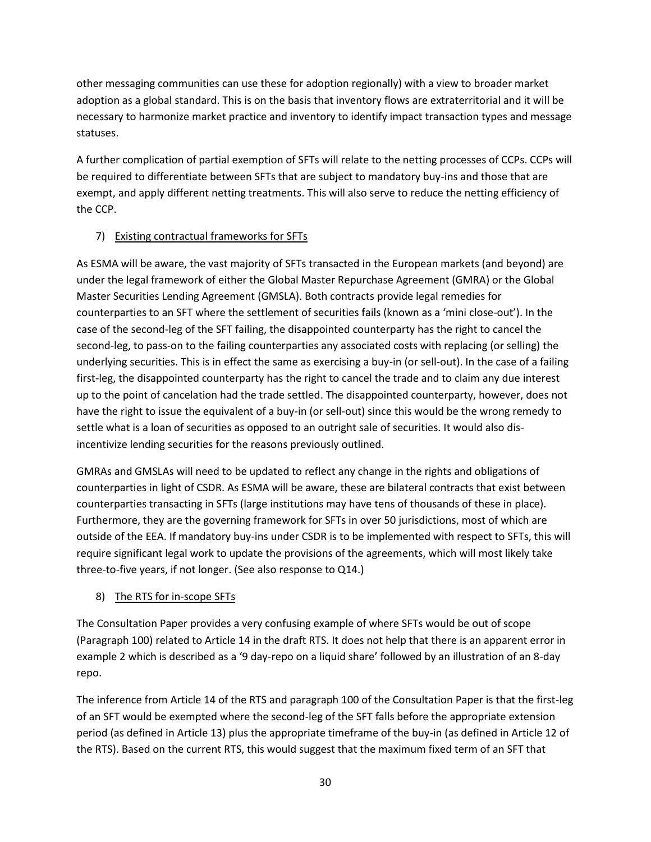other messaging communities can use these for adoption regionally) with a view to broader market adoption as a global standard. This is on the basis that inventory flows are extraterritorial and it will be necessary to harmonize market practice and inventory to identify impact transaction types and message statuses.

A further complication of partial exemption of SFTs will relate to the netting processes of CCPs. CCPs will be required to differentiate between SFTs that are subject to mandatory buy-ins and those that are exempt, and apply different netting treatments. This will also serve to reduce the netting efficiency of the CCP.

## 7) Existing contractual frameworks for SFTs

As ESMA will be aware, the vast majority of SFTs transacted in the European markets (and beyond) are under the legal framework of either the Global Master Repurchase Agreement (GMRA) or the Global Master Securities Lending Agreement (GMSLA). Both contracts provide legal remedies for counterparties to an SFT where the settlement of securities fails (known as a 'mini close-out'). In the case of the second-leg of the SFT failing, the disappointed counterparty has the right to cancel the second-leg, to pass-on to the failing counterparties any associated costs with replacing (or selling) the underlying securities. This is in effect the same as exercising a buy-in (or sell-out). In the case of a failing first-leg, the disappointed counterparty has the right to cancel the trade and to claim any due interest up to the point of cancelation had the trade settled. The disappointed counterparty, however, does not have the right to issue the equivalent of a buy-in (or sell-out) since this would be the wrong remedy to settle what is a loan of securities as opposed to an outright sale of securities. It would also disincentivize lending securities for the reasons previously outlined.

GMRAs and GMSLAs will need to be updated to reflect any change in the rights and obligations of counterparties in light of CSDR. As ESMA will be aware, these are bilateral contracts that exist between counterparties transacting in SFTs (large institutions may have tens of thousands of these in place). Furthermore, they are the governing framework for SFTs in over 50 jurisdictions, most of which are outside of the EEA. If mandatory buy-ins under CSDR is to be implemented with respect to SFTs, this will require significant legal work to update the provisions of the agreements, which will most likely take three-to-five years, if not longer. (See also response to Q14.)

# 8) The RTS for in-scope SFTs

The Consultation Paper provides a very confusing example of where SFTs would be out of scope (Paragraph 100) related to Article 14 in the draft RTS. It does not help that there is an apparent error in example 2 which is described as a '9 day-repo on a liquid share' followed by an illustration of an 8-day repo.

The inference from Article 14 of the RTS and paragraph 100 of the Consultation Paper is that the first-leg of an SFT would be exempted where the second-leg of the SFT falls before the appropriate extension period (as defined in Article 13) plus the appropriate timeframe of the buy-in (as defined in Article 12 of the RTS). Based on the current RTS, this would suggest that the maximum fixed term of an SFT that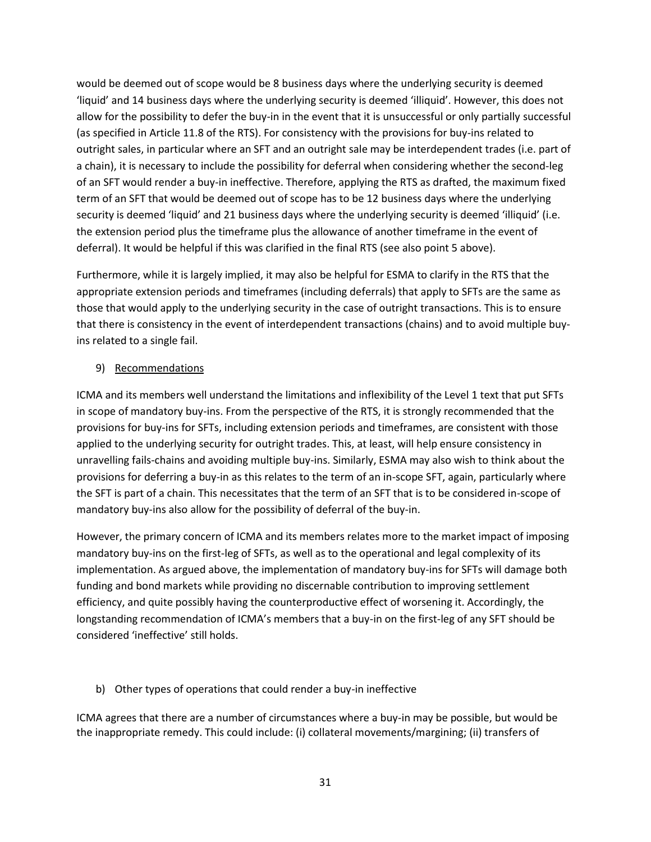would be deemed out of scope would be 8 business days where the underlying security is deemed 'liquid' and 14 business days where the underlying security is deemed 'illiquid'. However, this does not allow for the possibility to defer the buy-in in the event that it is unsuccessful or only partially successful (as specified in Article 11.8 of the RTS). For consistency with the provisions for buy-ins related to outright sales, in particular where an SFT and an outright sale may be interdependent trades (i.e. part of a chain), it is necessary to include the possibility for deferral when considering whether the second-leg of an SFT would render a buy-in ineffective. Therefore, applying the RTS as drafted, the maximum fixed term of an SFT that would be deemed out of scope has to be 12 business days where the underlying security is deemed 'liquid' and 21 business days where the underlying security is deemed 'illiquid' (i.e. the extension period plus the timeframe plus the allowance of another timeframe in the event of deferral). It would be helpful if this was clarified in the final RTS (see also point 5 above).

Furthermore, while it is largely implied, it may also be helpful for ESMA to clarify in the RTS that the appropriate extension periods and timeframes (including deferrals) that apply to SFTs are the same as those that would apply to the underlying security in the case of outright transactions. This is to ensure that there is consistency in the event of interdependent transactions (chains) and to avoid multiple buyins related to a single fail.

### 9) Recommendations

ICMA and its members well understand the limitations and inflexibility of the Level 1 text that put SFTs in scope of mandatory buy-ins. From the perspective of the RTS, it is strongly recommended that the provisions for buy-ins for SFTs, including extension periods and timeframes, are consistent with those applied to the underlying security for outright trades. This, at least, will help ensure consistency in unravelling fails-chains and avoiding multiple buy-ins. Similarly, ESMA may also wish to think about the provisions for deferring a buy-in as this relates to the term of an in-scope SFT, again, particularly where the SFT is part of a chain. This necessitates that the term of an SFT that is to be considered in-scope of mandatory buy-ins also allow for the possibility of deferral of the buy-in.

However, the primary concern of ICMA and its members relates more to the market impact of imposing mandatory buy-ins on the first-leg of SFTs, as well as to the operational and legal complexity of its implementation. As argued above, the implementation of mandatory buy-ins for SFTs will damage both funding and bond markets while providing no discernable contribution to improving settlement efficiency, and quite possibly having the counterproductive effect of worsening it. Accordingly, the longstanding recommendation of ICMA's members that a buy-in on the first-leg of any SFT should be considered 'ineffective' still holds.

b) Other types of operations that could render a buy-in ineffective

ICMA agrees that there are a number of circumstances where a buy-in may be possible, but would be the inappropriate remedy. This could include: (i) collateral movements/margining; (ii) transfers of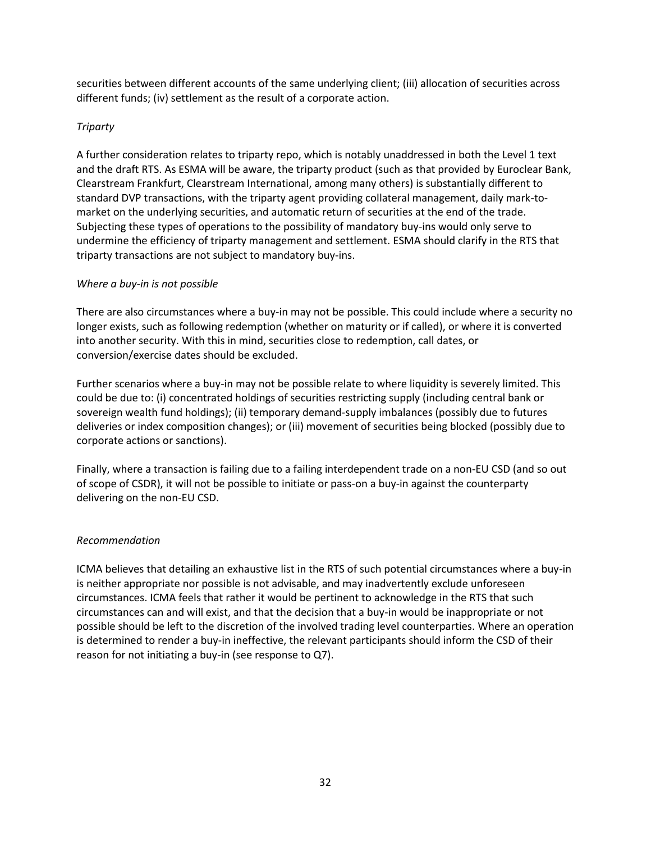securities between different accounts of the same underlying client; (iii) allocation of securities across different funds; (iv) settlement as the result of a corporate action.

### *Triparty*

A further consideration relates to triparty repo, which is notably unaddressed in both the Level 1 text and the draft RTS. As ESMA will be aware, the triparty product (such as that provided by Euroclear Bank, Clearstream Frankfurt, Clearstream International, among many others) is substantially different to standard DVP transactions, with the triparty agent providing collateral management, daily mark-tomarket on the underlying securities, and automatic return of securities at the end of the trade. Subjecting these types of operations to the possibility of mandatory buy-ins would only serve to undermine the efficiency of triparty management and settlement. ESMA should clarify in the RTS that triparty transactions are not subject to mandatory buy-ins.

### *Where a buy-in is not possible*

There are also circumstances where a buy-in may not be possible. This could include where a security no longer exists, such as following redemption (whether on maturity or if called), or where it is converted into another security. With this in mind, securities close to redemption, call dates, or conversion/exercise dates should be excluded.

Further scenarios where a buy-in may not be possible relate to where liquidity is severely limited. This could be due to: (i) concentrated holdings of securities restricting supply (including central bank or sovereign wealth fund holdings); (ii) temporary demand-supply imbalances (possibly due to futures deliveries or index composition changes); or (iii) movement of securities being blocked (possibly due to corporate actions or sanctions).

Finally, where a transaction is failing due to a failing interdependent trade on a non-EU CSD (and so out of scope of CSDR), it will not be possible to initiate or pass-on a buy-in against the counterparty delivering on the non-EU CSD.

## *Recommendation*

ICMA believes that detailing an exhaustive list in the RTS of such potential circumstances where a buy-in is neither appropriate nor possible is not advisable, and may inadvertently exclude unforeseen circumstances. ICMA feels that rather it would be pertinent to acknowledge in the RTS that such circumstances can and will exist, and that the decision that a buy-in would be inappropriate or not possible should be left to the discretion of the involved trading level counterparties. Where an operation is determined to render a buy-in ineffective, the relevant participants should inform the CSD of their reason for not initiating a buy-in (see response to Q7).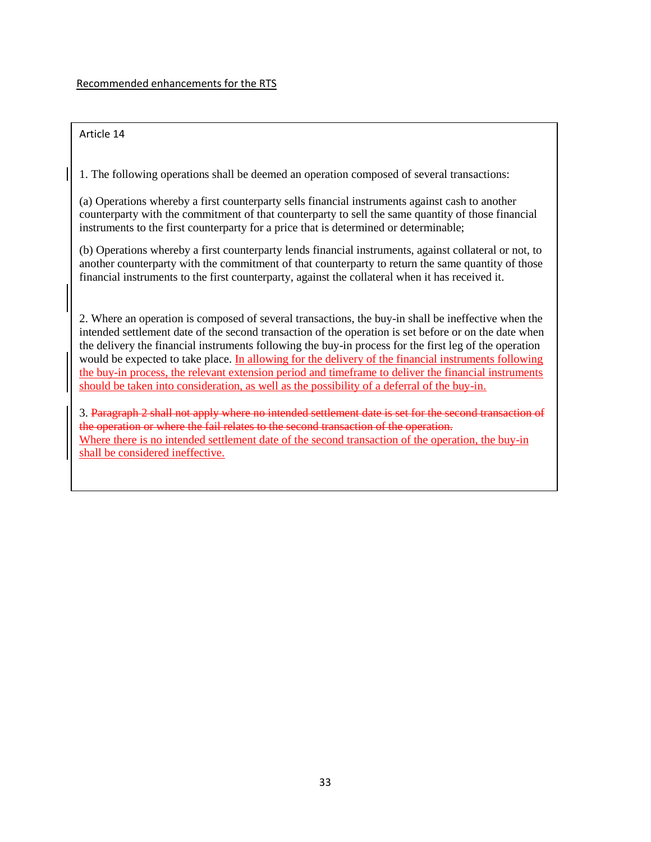### Article 14

1. The following operations shall be deemed an operation composed of several transactions:

(a) Operations whereby a first counterparty sells financial instruments against cash to another counterparty with the commitment of that counterparty to sell the same quantity of those financial instruments to the first counterparty for a price that is determined or determinable;

(b) Operations whereby a first counterparty lends financial instruments, against collateral or not, to another counterparty with the commitment of that counterparty to return the same quantity of those financial instruments to the first counterparty, against the collateral when it has received it.

2. Where an operation is composed of several transactions, the buy-in shall be ineffective when the intended settlement date of the second transaction of the operation is set before or on the date when the delivery the financial instruments following the buy-in process for the first leg of the operation would be expected to take place. In allowing for the delivery of the financial instruments following the buy-in process, the relevant extension period and timeframe to deliver the financial instruments should be taken into consideration, as well as the possibility of a deferral of the buy-in.

3. Paragraph 2 shall not apply where no intended settlement date is set for the second transaction of the operation or where the fail relates to the second transaction of the operation. Where there is no intended settlement date of the second transaction of the operation, the buy-in shall be considered ineffective.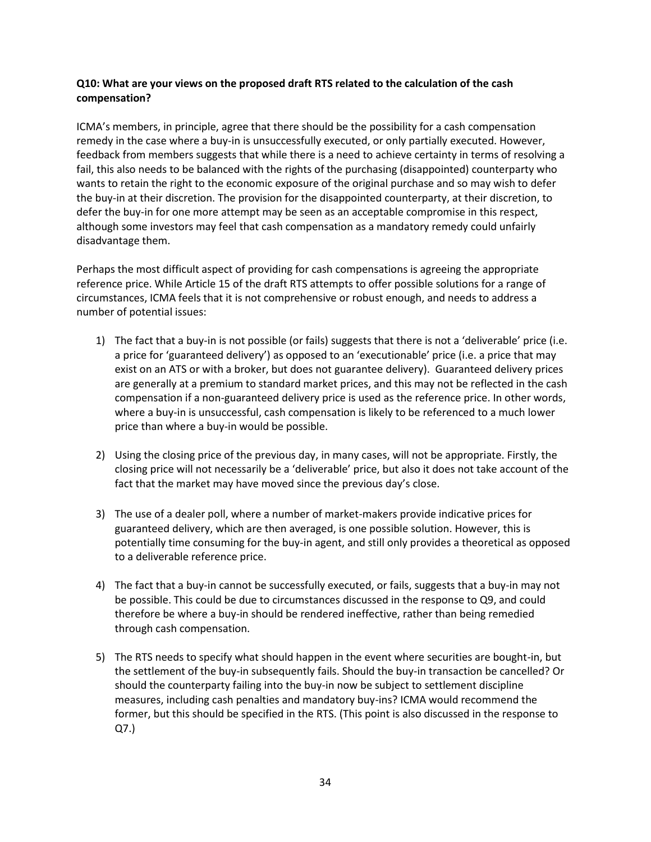### **Q10: What are your views on the proposed draft RTS related to the calculation of the cash compensation?**

ICMA's members, in principle, agree that there should be the possibility for a cash compensation remedy in the case where a buy-in is unsuccessfully executed, or only partially executed. However, feedback from members suggests that while there is a need to achieve certainty in terms of resolving a fail, this also needs to be balanced with the rights of the purchasing (disappointed) counterparty who wants to retain the right to the economic exposure of the original purchase and so may wish to defer the buy-in at their discretion. The provision for the disappointed counterparty, at their discretion, to defer the buy-in for one more attempt may be seen as an acceptable compromise in this respect, although some investors may feel that cash compensation as a mandatory remedy could unfairly disadvantage them.

Perhaps the most difficult aspect of providing for cash compensations is agreeing the appropriate reference price. While Article 15 of the draft RTS attempts to offer possible solutions for a range of circumstances, ICMA feels that it is not comprehensive or robust enough, and needs to address a number of potential issues:

- 1) The fact that a buy-in is not possible (or fails) suggests that there is not a 'deliverable' price (i.e. a price for 'guaranteed delivery') as opposed to an 'executionable' price (i.e. a price that may exist on an ATS or with a broker, but does not guarantee delivery). Guaranteed delivery prices are generally at a premium to standard market prices, and this may not be reflected in the cash compensation if a non-guaranteed delivery price is used as the reference price. In other words, where a buy-in is unsuccessful, cash compensation is likely to be referenced to a much lower price than where a buy-in would be possible.
- 2) Using the closing price of the previous day, in many cases, will not be appropriate. Firstly, the closing price will not necessarily be a 'deliverable' price, but also it does not take account of the fact that the market may have moved since the previous day's close.
- 3) The use of a dealer poll, where a number of market-makers provide indicative prices for guaranteed delivery, which are then averaged, is one possible solution. However, this is potentially time consuming for the buy-in agent, and still only provides a theoretical as opposed to a deliverable reference price.
- 4) The fact that a buy-in cannot be successfully executed, or fails, suggests that a buy-in may not be possible. This could be due to circumstances discussed in the response to Q9, and could therefore be where a buy-in should be rendered ineffective, rather than being remedied through cash compensation.
- 5) The RTS needs to specify what should happen in the event where securities are bought-in, but the settlement of the buy-in subsequently fails. Should the buy-in transaction be cancelled? Or should the counterparty failing into the buy-in now be subject to settlement discipline measures, including cash penalties and mandatory buy-ins? ICMA would recommend the former, but this should be specified in the RTS. (This point is also discussed in the response to Q7.)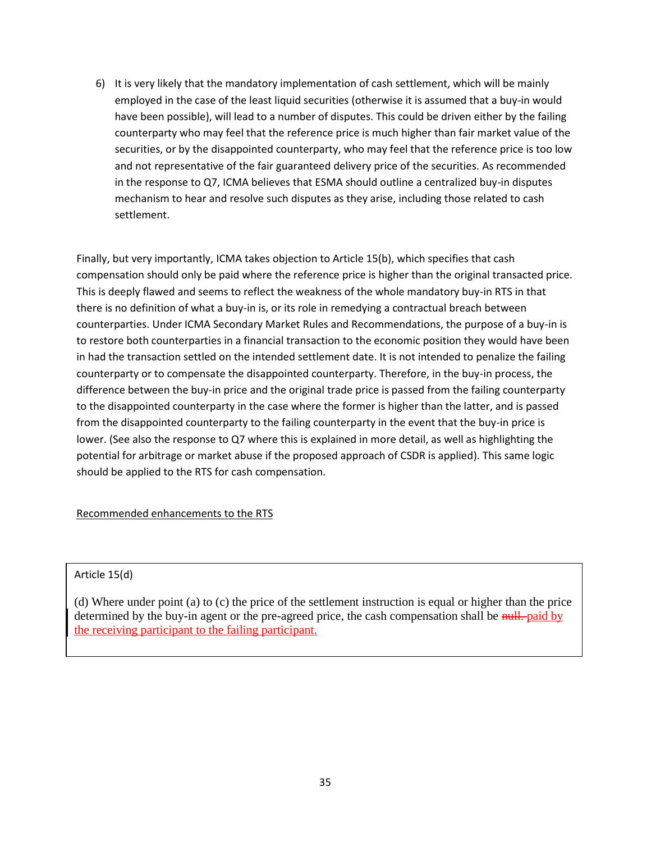6) It is very likely that the mandatory implementation of cash settlement, which will be mainly employed in the case of the least liquid securities (otherwise it is assumed that a buy-in would have been possible), will lead to a number of disputes. This could be driven either by the failing counterparty who may feel that the reference price is much higher than fair market value of the securities, or by the disappointed counterparty, who may feel that the reference price is too low and not representative of the fair guaranteed delivery price of the securities. As recommended in the response to Q7, ICMA believes that ESMA should outline a centralized buy-in disputes mechanism to hear and resolve such disputes as they arise, including those related to cash settlement.

Finally, but very importantly, ICMA takes objection to Article 15(b), which specifies that cash compensation should only be paid where the reference price is higher than the original transacted price. This is deeply flawed and seems to reflect the weakness of the whole mandatory buy-in RTS in that there is no definition of what a buy-in is, or its role in remedying a contractual breach between counterparties. Under ICMA Secondary Market Rules and Recommendations, the purpose of a buy-in is to restore both counterparties in a financial transaction to the economic position they would have been in had the transaction settled on the intended settlement date. It is not intended to penalize the failing counterparty or to compensate the disappointed counterparty. Therefore, in the buy-in process, the difference between the buy-in price and the original trade price is passed from the failing counterparty to the disappointed counterparty in the case where the former is higher than the latter, and is passed from the disappointed counterparty to the failing counterparty in the event that the buy-in price is lower. (See also the response to Q7 where this is explained in more detail, as well as highlighting the potential for arbitrage or market abuse if the proposed approach of CSDR is applied). This same logic should be applied to the RTS for cash compensation.

### Recommended enhancements to the RTS

### Article 15(d)

(d) Where under point (a) to (c) the price of the settlement instruction is equal or higher than the price determined by the buy-in agent or the pre-agreed price, the cash compensation shall be nulleled by the receiving participant to the failing participant.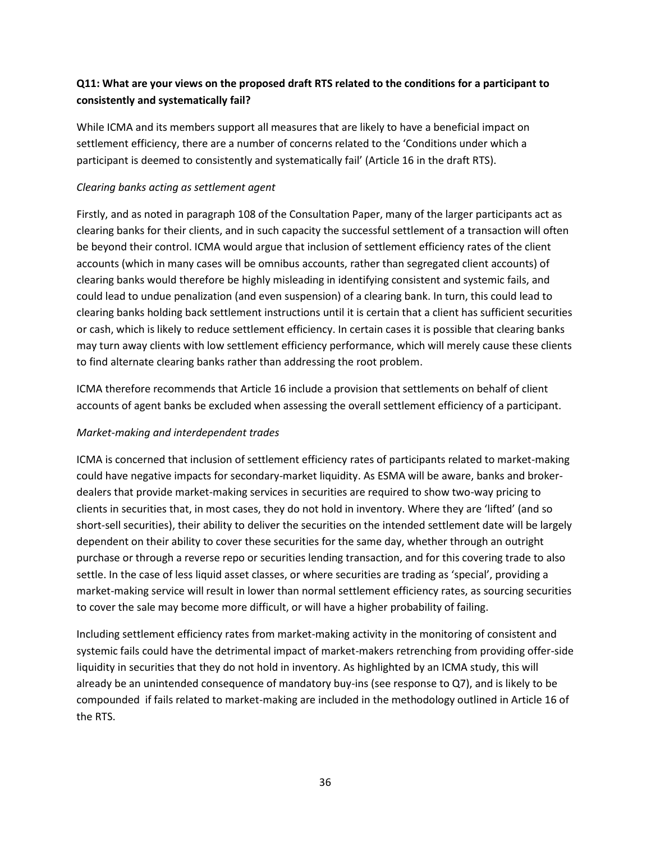# **Q11: What are your views on the proposed draft RTS related to the conditions for a participant to consistently and systematically fail?**

While ICMA and its members support all measures that are likely to have a beneficial impact on settlement efficiency, there are a number of concerns related to the 'Conditions under which a participant is deemed to consistently and systematically fail' (Article 16 in the draft RTS).

### *Clearing banks acting as settlement agent*

Firstly, and as noted in paragraph 108 of the Consultation Paper, many of the larger participants act as clearing banks for their clients, and in such capacity the successful settlement of a transaction will often be beyond their control. ICMA would argue that inclusion of settlement efficiency rates of the client accounts (which in many cases will be omnibus accounts, rather than segregated client accounts) of clearing banks would therefore be highly misleading in identifying consistent and systemic fails, and could lead to undue penalization (and even suspension) of a clearing bank. In turn, this could lead to clearing banks holding back settlement instructions until it is certain that a client has sufficient securities or cash, which is likely to reduce settlement efficiency. In certain cases it is possible that clearing banks may turn away clients with low settlement efficiency performance, which will merely cause these clients to find alternate clearing banks rather than addressing the root problem.

ICMA therefore recommends that Article 16 include a provision that settlements on behalf of client accounts of agent banks be excluded when assessing the overall settlement efficiency of a participant.

## *Market-making and interdependent trades*

ICMA is concerned that inclusion of settlement efficiency rates of participants related to market-making could have negative impacts for secondary-market liquidity. As ESMA will be aware, banks and brokerdealers that provide market-making services in securities are required to show two-way pricing to clients in securities that, in most cases, they do not hold in inventory. Where they are 'lifted' (and so short-sell securities), their ability to deliver the securities on the intended settlement date will be largely dependent on their ability to cover these securities for the same day, whether through an outright purchase or through a reverse repo or securities lending transaction, and for this covering trade to also settle. In the case of less liquid asset classes, or where securities are trading as 'special', providing a market-making service will result in lower than normal settlement efficiency rates, as sourcing securities to cover the sale may become more difficult, or will have a higher probability of failing.

Including settlement efficiency rates from market-making activity in the monitoring of consistent and systemic fails could have the detrimental impact of market-makers retrenching from providing offer-side liquidity in securities that they do not hold in inventory. As highlighted by an ICMA study, this will already be an unintended consequence of mandatory buy-ins (see response to Q7), and is likely to be compounded if fails related to market-making are included in the methodology outlined in Article 16 of the RTS.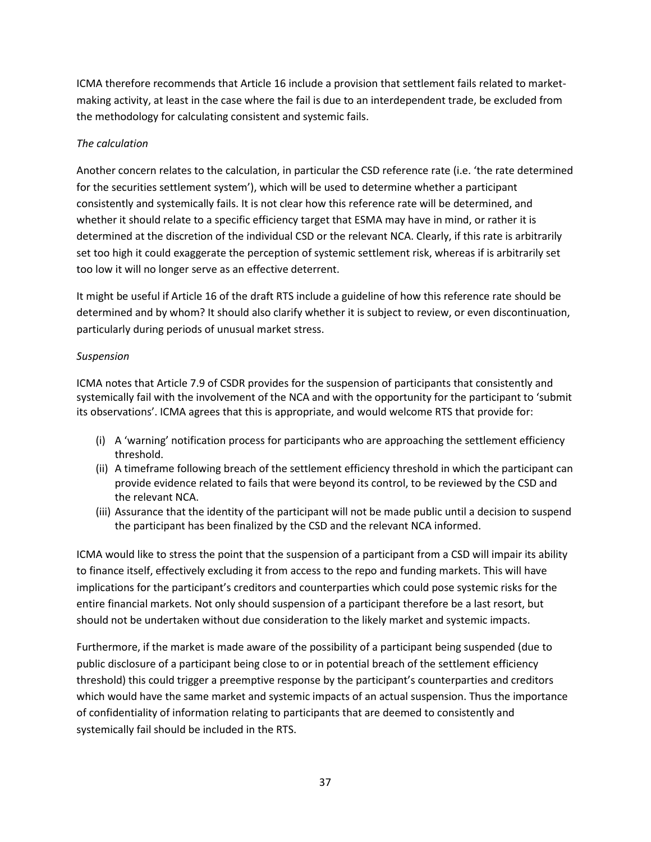ICMA therefore recommends that Article 16 include a provision that settlement fails related to marketmaking activity, at least in the case where the fail is due to an interdependent trade, be excluded from the methodology for calculating consistent and systemic fails.

## *The calculation*

Another concern relates to the calculation, in particular the CSD reference rate (i.e. 'the rate determined for the securities settlement system'), which will be used to determine whether a participant consistently and systemically fails. It is not clear how this reference rate will be determined, and whether it should relate to a specific efficiency target that ESMA may have in mind, or rather it is determined at the discretion of the individual CSD or the relevant NCA. Clearly, if this rate is arbitrarily set too high it could exaggerate the perception of systemic settlement risk, whereas if is arbitrarily set too low it will no longer serve as an effective deterrent.

It might be useful if Article 16 of the draft RTS include a guideline of how this reference rate should be determined and by whom? It should also clarify whether it is subject to review, or even discontinuation, particularly during periods of unusual market stress.

## *Suspension*

ICMA notes that Article 7.9 of CSDR provides for the suspension of participants that consistently and systemically fail with the involvement of the NCA and with the opportunity for the participant to 'submit its observations'. ICMA agrees that this is appropriate, and would welcome RTS that provide for:

- (i) A 'warning' notification process for participants who are approaching the settlement efficiency threshold.
- (ii) A timeframe following breach of the settlement efficiency threshold in which the participant can provide evidence related to fails that were beyond its control, to be reviewed by the CSD and the relevant NCA.
- (iii) Assurance that the identity of the participant will not be made public until a decision to suspend the participant has been finalized by the CSD and the relevant NCA informed.

ICMA would like to stress the point that the suspension of a participant from a CSD will impair its ability to finance itself, effectively excluding it from access to the repo and funding markets. This will have implications for the participant's creditors and counterparties which could pose systemic risks for the entire financial markets. Not only should suspension of a participant therefore be a last resort, but should not be undertaken without due consideration to the likely market and systemic impacts.

Furthermore, if the market is made aware of the possibility of a participant being suspended (due to public disclosure of a participant being close to or in potential breach of the settlement efficiency threshold) this could trigger a preemptive response by the participant's counterparties and creditors which would have the same market and systemic impacts of an actual suspension. Thus the importance of confidentiality of information relating to participants that are deemed to consistently and systemically fail should be included in the RTS.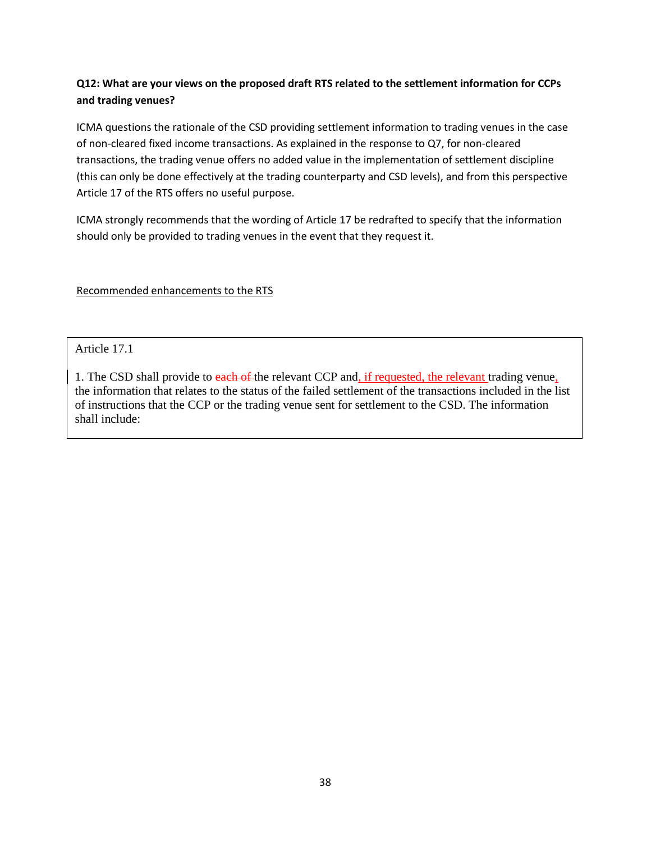# **Q12: What are your views on the proposed draft RTS related to the settlement information for CCPs and trading venues?**

ICMA questions the rationale of the CSD providing settlement information to trading venues in the case of non-cleared fixed income transactions. As explained in the response to Q7, for non-cleared transactions, the trading venue offers no added value in the implementation of settlement discipline (this can only be done effectively at the trading counterparty and CSD levels), and from this perspective Article 17 of the RTS offers no useful purpose.

ICMA strongly recommends that the wording of Article 17 be redrafted to specify that the information should only be provided to trading venues in the event that they request it.

Recommended enhancements to the RTS

Article 17.1

1. The CSD shall provide to each of the relevant CCP and, if requested, the relevant trading venue, the information that relates to the status of the failed settlement of the transactions included in the list of instructions that the CCP or the trading venue sent for settlement to the CSD. The information shall include: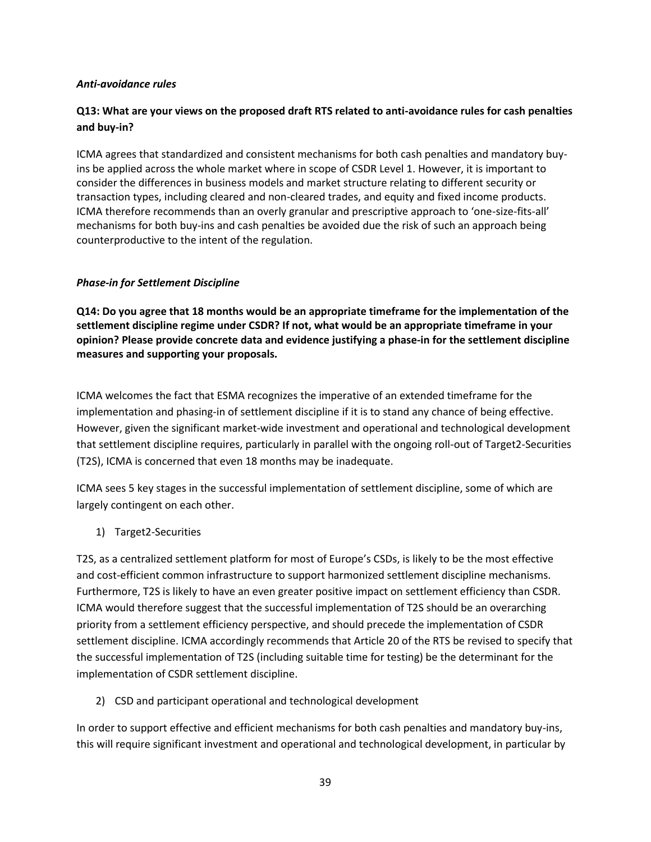### *Anti-avoidance rules*

## **Q13: What are your views on the proposed draft RTS related to anti-avoidance rules for cash penalties and buy-in?**

ICMA agrees that standardized and consistent mechanisms for both cash penalties and mandatory buyins be applied across the whole market where in scope of CSDR Level 1. However, it is important to consider the differences in business models and market structure relating to different security or transaction types, including cleared and non-cleared trades, and equity and fixed income products. ICMA therefore recommends than an overly granular and prescriptive approach to 'one-size-fits-all' mechanisms for both buy-ins and cash penalties be avoided due the risk of such an approach being counterproductive to the intent of the regulation.

### *Phase-in for Settlement Discipline*

**Q14: Do you agree that 18 months would be an appropriate timeframe for the implementation of the settlement discipline regime under CSDR? If not, what would be an appropriate timeframe in your opinion? Please provide concrete data and evidence justifying a phase-in for the settlement discipline measures and supporting your proposals.** 

ICMA welcomes the fact that ESMA recognizes the imperative of an extended timeframe for the implementation and phasing-in of settlement discipline if it is to stand any chance of being effective. However, given the significant market-wide investment and operational and technological development that settlement discipline requires, particularly in parallel with the ongoing roll-out of Target2-Securities (T2S), ICMA is concerned that even 18 months may be inadequate.

ICMA sees 5 key stages in the successful implementation of settlement discipline, some of which are largely contingent on each other.

## 1) Target2-Securities

T2S, as a centralized settlement platform for most of Europe's CSDs, is likely to be the most effective and cost-efficient common infrastructure to support harmonized settlement discipline mechanisms. Furthermore, T2S is likely to have an even greater positive impact on settlement efficiency than CSDR. ICMA would therefore suggest that the successful implementation of T2S should be an overarching priority from a settlement efficiency perspective, and should precede the implementation of CSDR settlement discipline. ICMA accordingly recommends that Article 20 of the RTS be revised to specify that the successful implementation of T2S (including suitable time for testing) be the determinant for the implementation of CSDR settlement discipline.

2) CSD and participant operational and technological development

In order to support effective and efficient mechanisms for both cash penalties and mandatory buy-ins, this will require significant investment and operational and technological development, in particular by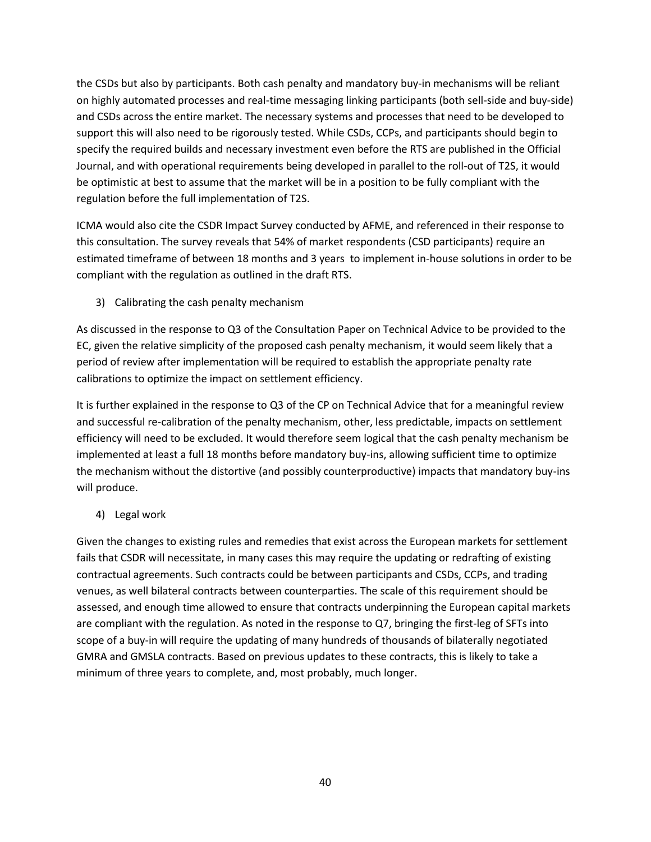the CSDs but also by participants. Both cash penalty and mandatory buy-in mechanisms will be reliant on highly automated processes and real-time messaging linking participants (both sell-side and buy-side) and CSDs across the entire market. The necessary systems and processes that need to be developed to support this will also need to be rigorously tested. While CSDs, CCPs, and participants should begin to specify the required builds and necessary investment even before the RTS are published in the Official Journal, and with operational requirements being developed in parallel to the roll-out of T2S, it would be optimistic at best to assume that the market will be in a position to be fully compliant with the regulation before the full implementation of T2S.

ICMA would also cite the CSDR Impact Survey conducted by AFME, and referenced in their response to this consultation. The survey reveals that 54% of market respondents (CSD participants) require an estimated timeframe of between 18 months and 3 years to implement in-house solutions in order to be compliant with the regulation as outlined in the draft RTS.

3) Calibrating the cash penalty mechanism

As discussed in the response to Q3 of the Consultation Paper on Technical Advice to be provided to the EC, given the relative simplicity of the proposed cash penalty mechanism, it would seem likely that a period of review after implementation will be required to establish the appropriate penalty rate calibrations to optimize the impact on settlement efficiency.

It is further explained in the response to Q3 of the CP on Technical Advice that for a meaningful review and successful re-calibration of the penalty mechanism, other, less predictable, impacts on settlement efficiency will need to be excluded. It would therefore seem logical that the cash penalty mechanism be implemented at least a full 18 months before mandatory buy-ins, allowing sufficient time to optimize the mechanism without the distortive (and possibly counterproductive) impacts that mandatory buy-ins will produce.

4) Legal work

Given the changes to existing rules and remedies that exist across the European markets for settlement fails that CSDR will necessitate, in many cases this may require the updating or redrafting of existing contractual agreements. Such contracts could be between participants and CSDs, CCPs, and trading venues, as well bilateral contracts between counterparties. The scale of this requirement should be assessed, and enough time allowed to ensure that contracts underpinning the European capital markets are compliant with the regulation. As noted in the response to Q7, bringing the first-leg of SFTs into scope of a buy-in will require the updating of many hundreds of thousands of bilaterally negotiated GMRA and GMSLA contracts. Based on previous updates to these contracts, this is likely to take a minimum of three years to complete, and, most probably, much longer.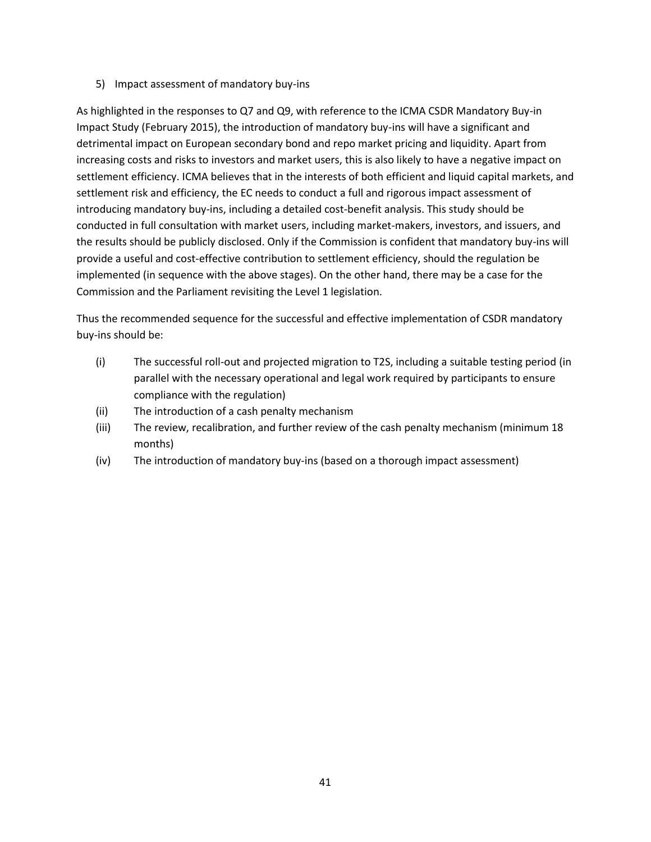5) Impact assessment of mandatory buy-ins

As highlighted in the responses to Q7 and Q9, with reference to the ICMA CSDR Mandatory Buy-in Impact Study (February 2015), the introduction of mandatory buy-ins will have a significant and detrimental impact on European secondary bond and repo market pricing and liquidity. Apart from increasing costs and risks to investors and market users, this is also likely to have a negative impact on settlement efficiency. ICMA believes that in the interests of both efficient and liquid capital markets, and settlement risk and efficiency, the EC needs to conduct a full and rigorous impact assessment of introducing mandatory buy-ins, including a detailed cost-benefit analysis. This study should be conducted in full consultation with market users, including market-makers, investors, and issuers, and the results should be publicly disclosed. Only if the Commission is confident that mandatory buy-ins will provide a useful and cost-effective contribution to settlement efficiency, should the regulation be implemented (in sequence with the above stages). On the other hand, there may be a case for the Commission and the Parliament revisiting the Level 1 legislation.

Thus the recommended sequence for the successful and effective implementation of CSDR mandatory buy-ins should be:

- (i) The successful roll-out and projected migration to T2S, including a suitable testing period (in parallel with the necessary operational and legal work required by participants to ensure compliance with the regulation)
- (ii) The introduction of a cash penalty mechanism
- (iii) The review, recalibration, and further review of the cash penalty mechanism (minimum 18 months)
- (iv) The introduction of mandatory buy-ins (based on a thorough impact assessment)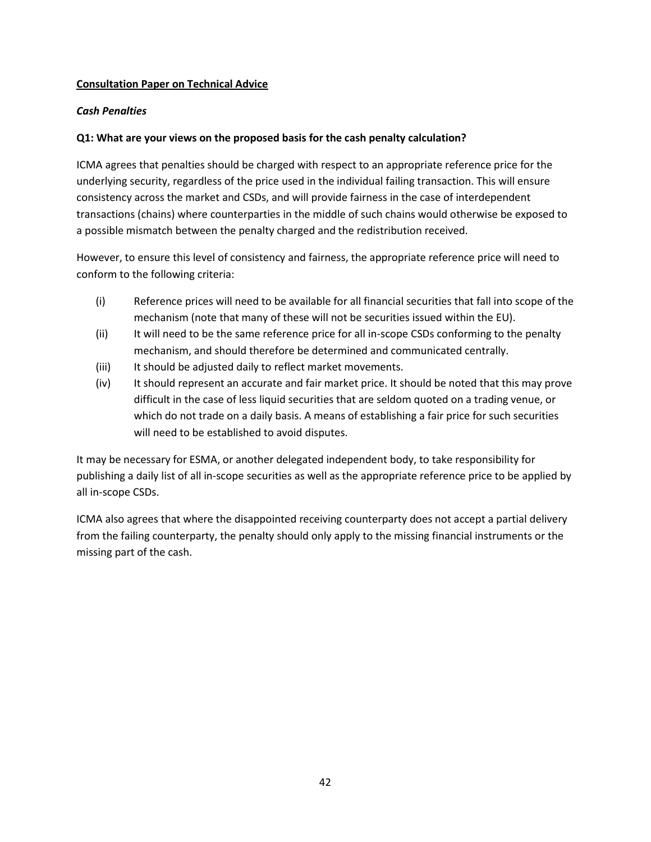### **Consultation Paper on Technical Advice**

### *Cash Penalties*

### **Q1: What are your views on the proposed basis for the cash penalty calculation?**

ICMA agrees that penalties should be charged with respect to an appropriate reference price for the underlying security, regardless of the price used in the individual failing transaction. This will ensure consistency across the market and CSDs, and will provide fairness in the case of interdependent transactions (chains) where counterparties in the middle of such chains would otherwise be exposed to a possible mismatch between the penalty charged and the redistribution received.

However, to ensure this level of consistency and fairness, the appropriate reference price will need to conform to the following criteria:

- (i) Reference prices will need to be available for all financial securities that fall into scope of the mechanism (note that many of these will not be securities issued within the EU).
- (ii) It will need to be the same reference price for all in-scope CSDs conforming to the penalty mechanism, and should therefore be determined and communicated centrally.
- (iii) It should be adjusted daily to reflect market movements.
- (iv) It should represent an accurate and fair market price. It should be noted that this may prove difficult in the case of less liquid securities that are seldom quoted on a trading venue, or which do not trade on a daily basis. A means of establishing a fair price for such securities will need to be established to avoid disputes.

It may be necessary for ESMA, or another delegated independent body, to take responsibility for publishing a daily list of all in-scope securities as well as the appropriate reference price to be applied by all in-scope CSDs.

ICMA also agrees that where the disappointed receiving counterparty does not accept a partial delivery from the failing counterparty, the penalty should only apply to the missing financial instruments or the missing part of the cash.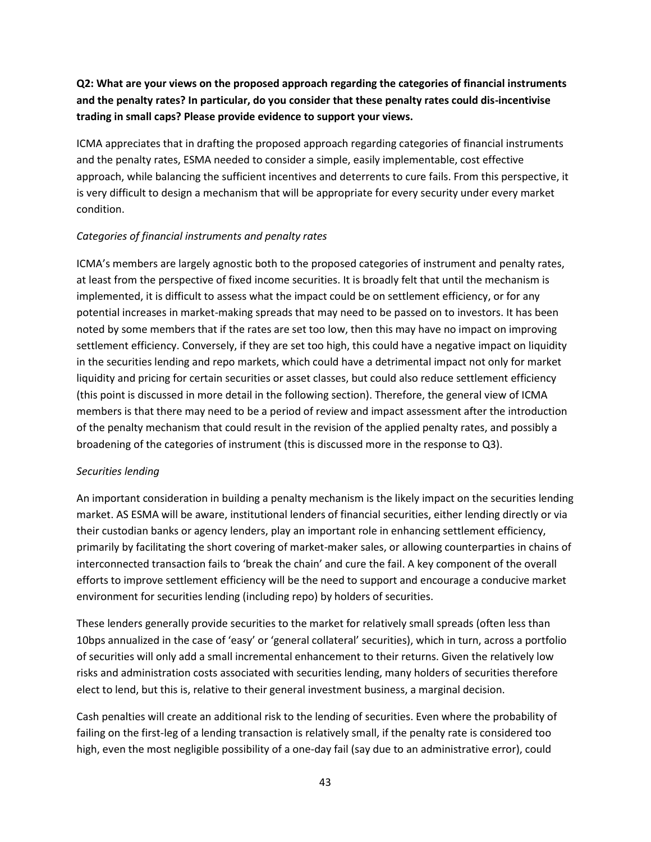# **Q2: What are your views on the proposed approach regarding the categories of financial instruments and the penalty rates? In particular, do you consider that these penalty rates could dis-incentivise trading in small caps? Please provide evidence to support your views.**

ICMA appreciates that in drafting the proposed approach regarding categories of financial instruments and the penalty rates, ESMA needed to consider a simple, easily implementable, cost effective approach, while balancing the sufficient incentives and deterrents to cure fails. From this perspective, it is very difficult to design a mechanism that will be appropriate for every security under every market condition.

### *Categories of financial instruments and penalty rates*

ICMA's members are largely agnostic both to the proposed categories of instrument and penalty rates, at least from the perspective of fixed income securities. It is broadly felt that until the mechanism is implemented, it is difficult to assess what the impact could be on settlement efficiency, or for any potential increases in market-making spreads that may need to be passed on to investors. It has been noted by some members that if the rates are set too low, then this may have no impact on improving settlement efficiency. Conversely, if they are set too high, this could have a negative impact on liquidity in the securities lending and repo markets, which could have a detrimental impact not only for market liquidity and pricing for certain securities or asset classes, but could also reduce settlement efficiency (this point is discussed in more detail in the following section). Therefore, the general view of ICMA members is that there may need to be a period of review and impact assessment after the introduction of the penalty mechanism that could result in the revision of the applied penalty rates, and possibly a broadening of the categories of instrument (this is discussed more in the response to Q3).

## *Securities lending*

An important consideration in building a penalty mechanism is the likely impact on the securities lending market. AS ESMA will be aware, institutional lenders of financial securities, either lending directly or via their custodian banks or agency lenders, play an important role in enhancing settlement efficiency, primarily by facilitating the short covering of market-maker sales, or allowing counterparties in chains of interconnected transaction fails to 'break the chain' and cure the fail. A key component of the overall efforts to improve settlement efficiency will be the need to support and encourage a conducive market environment for securities lending (including repo) by holders of securities.

These lenders generally provide securities to the market for relatively small spreads (often less than 10bps annualized in the case of 'easy' or 'general collateral' securities), which in turn, across a portfolio of securities will only add a small incremental enhancement to their returns. Given the relatively low risks and administration costs associated with securities lending, many holders of securities therefore elect to lend, but this is, relative to their general investment business, a marginal decision.

Cash penalties will create an additional risk to the lending of securities. Even where the probability of failing on the first-leg of a lending transaction is relatively small, if the penalty rate is considered too high, even the most negligible possibility of a one-day fail (say due to an administrative error), could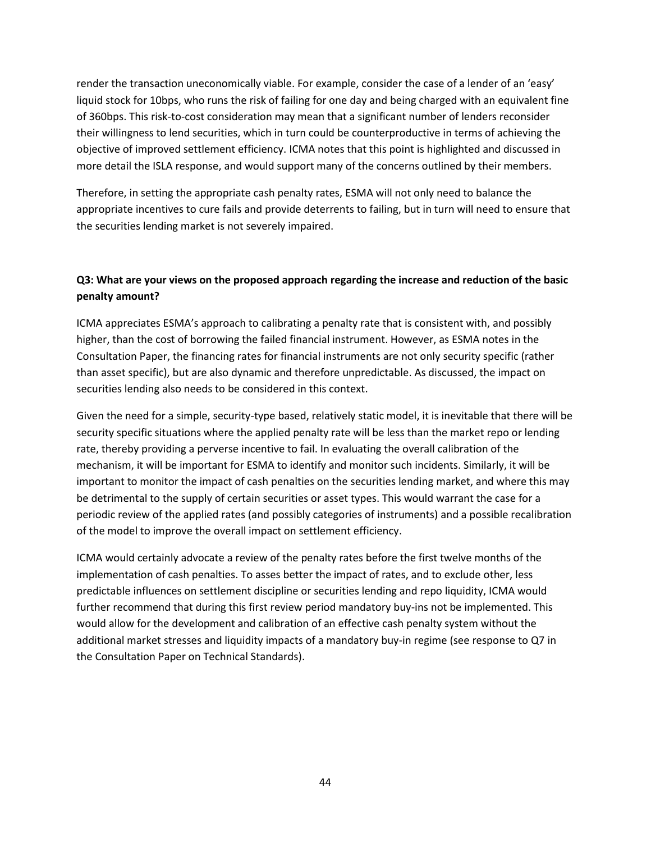render the transaction uneconomically viable. For example, consider the case of a lender of an 'easy' liquid stock for 10bps, who runs the risk of failing for one day and being charged with an equivalent fine of 360bps. This risk-to-cost consideration may mean that a significant number of lenders reconsider their willingness to lend securities, which in turn could be counterproductive in terms of achieving the objective of improved settlement efficiency. ICMA notes that this point is highlighted and discussed in more detail the ISLA response, and would support many of the concerns outlined by their members.

Therefore, in setting the appropriate cash penalty rates, ESMA will not only need to balance the appropriate incentives to cure fails and provide deterrents to failing, but in turn will need to ensure that the securities lending market is not severely impaired.

## **Q3: What are your views on the proposed approach regarding the increase and reduction of the basic penalty amount?**

ICMA appreciates ESMA's approach to calibrating a penalty rate that is consistent with, and possibly higher, than the cost of borrowing the failed financial instrument. However, as ESMA notes in the Consultation Paper, the financing rates for financial instruments are not only security specific (rather than asset specific), but are also dynamic and therefore unpredictable. As discussed, the impact on securities lending also needs to be considered in this context.

Given the need for a simple, security-type based, relatively static model, it is inevitable that there will be security specific situations where the applied penalty rate will be less than the market repo or lending rate, thereby providing a perverse incentive to fail. In evaluating the overall calibration of the mechanism, it will be important for ESMA to identify and monitor such incidents. Similarly, it will be important to monitor the impact of cash penalties on the securities lending market, and where this may be detrimental to the supply of certain securities or asset types. This would warrant the case for a periodic review of the applied rates (and possibly categories of instruments) and a possible recalibration of the model to improve the overall impact on settlement efficiency.

ICMA would certainly advocate a review of the penalty rates before the first twelve months of the implementation of cash penalties. To asses better the impact of rates, and to exclude other, less predictable influences on settlement discipline or securities lending and repo liquidity, ICMA would further recommend that during this first review period mandatory buy-ins not be implemented. This would allow for the development and calibration of an effective cash penalty system without the additional market stresses and liquidity impacts of a mandatory buy-in regime (see response to Q7 in the Consultation Paper on Technical Standards).